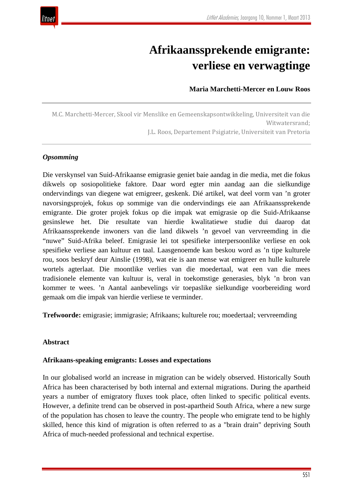# **Afrikaanssprekende emigrante: verliese en verwagtinge**

## **Maria Marchetti-Mercer en Louw Roos**

M.C. Marchetti-Mercer, Skool vir Menslike en Gemeenskapsontwikkeling, Universiteit van die Witwatersrand; J.L. Roos, Departement Psigiatrie, Universiteit van Pretoria

## *Opsomming*

Die verskynsel van Suid-Afrikaanse emigrasie geniet baie aandag in die media, met die fokus dikwels op sosiopolitieke faktore. Daar word egter min aandag aan die sielkundige ondervindings van diegene wat emigreer, geskenk. Dié artikel, wat deel vorm van 'n groter navorsingsprojek, fokus op sommige van die ondervindings eie aan Afrikaanssprekende emigrante. Die groter projek fokus op die impak wat emigrasie op die Suid-Afrikaanse gesinslewe het. Die resultate van hierdie kwalitatiewe studie dui daarop dat Afrikaanssprekende inwoners van die land dikwels 'n gevoel van vervreemding in die "nuwe" Suid-Afrika beleef. Emigrasie lei tot spesifieke interpersoonlike verliese en ook spesifieke verliese aan kultuur en taal. Laasgenoemde kan beskou word as 'n tipe kulturele rou, soos beskryf deur Ainslie (1998), wat eie is aan mense wat emigreer en hulle kulturele wortels agterlaat. Die moontlike verlies van die moedertaal, wat een van die mees tradisionele elemente van kultuur is, veral in toekomstige generasies, blyk 'n bron van kommer te wees. 'n Aantal aanbevelings vir toepaslike sielkundige voorbereiding word gemaak om die impak van hierdie verliese te verminder.

**Trefwoorde:** emigrasie; immigrasie; Afrikaans; kulturele rou; moedertaal; vervreemding

#### **Abstract**

#### **Afrikaans-speaking emigrants: Losses and expectations**

In our globalised world an increase in migration can be widely observed. Historically South Africa has been characterised by both internal and external migrations. During the apartheid years a number of emigratory fluxes took place, often linked to specific political events. However, a definite trend can be observed in post-apartheid South Africa, where a new surge of the population has chosen to leave the country. The people who emigrate tend to be highly skilled, hence this kind of migration is often referred to as a "brain drain" depriving South Africa of much-needed professional and technical expertise.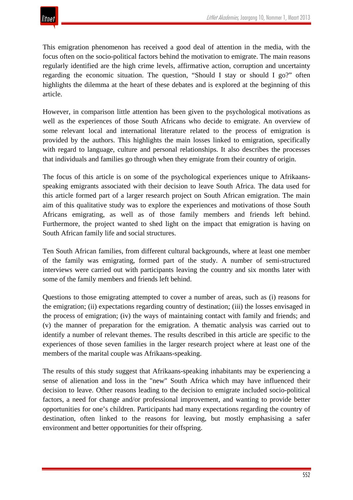This emigration phenomenon has received a good deal of attention in the media, with the focus often on the socio-political factors behind the motivation to emigrate. The main reasons regularly identified are the high crime levels, affirmative action, corruption and uncertainty regarding the economic situation. The question, "Should I stay or should I go?" often highlights the dilemma at the heart of these debates and is explored at the beginning of this article.

However, in comparison little attention has been given to the psychological motivations as well as the experiences of those South Africans who decide to emigrate. An overview of some relevant local and international literature related to the process of emigration is provided by the authors. This highlights the main losses linked to emigration, specifically with regard to language, culture and personal relationships. It also describes the processes that individuals and families go through when they emigrate from their country of origin.

The focus of this article is on some of the psychological experiences unique to Afrikaansspeaking emigrants associated with their decision to leave South Africa. The data used for this article formed part of a larger research project on South African emigration. The main aim of this qualitative study was to explore the experiences and motivations of those South Africans emigrating, as well as of those family members and friends left behind. Furthermore, the project wanted to shed light on the impact that emigration is having on South African family life and social structures.

Ten South African families, from different cultural backgrounds, where at least one member of the family was emigrating, formed part of the study. A number of semi-structured interviews were carried out with participants leaving the country and six months later with some of the family members and friends left behind.

Questions to those emigrating attempted to cover a number of areas, such as (i) reasons for the emigration; (ii) expectations regarding country of destination; (iii) the losses envisaged in the process of emigration; (iv) the ways of maintaining contact with family and friends; and (v) the manner of preparation for the emigration. A thematic analysis was carried out to identify a number of relevant themes. The results described in this article are specific to the experiences of those seven families in the larger research project where at least one of the members of the marital couple was Afrikaans-speaking.

The results of this study suggest that Afrikaans-speaking inhabitants may be experiencing a sense of alienation and loss in the "new" South Africa which may have influenced their decision to leave. Other reasons leading to the decision to emigrate included socio-political factors, a need for change and/or professional improvement, and wanting to provide better opportunities for one's children. Participants had many expectations regarding the country of destination, often linked to the reasons for leaving, but mostly emphasising a safer environment and better opportunities for their offspring.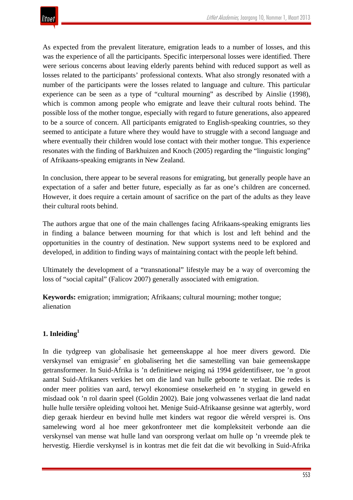As expected from the prevalent literature, emigration leads to a number of losses, and this was the experience of all the participants. Specific interpersonal losses were identified. There were serious concerns about leaving elderly parents behind with reduced support as well as losses related to the participants' professional contexts. What also strongly resonated with a number of the participants were the losses related to language and culture. This particular experience can be seen as a type of "cultural mourning" as described by Ainslie (1998), which is common among people who emigrate and leave their cultural roots behind. The possible loss of the mother tongue, especially with regard to future generations, also appeared to be a source of concern. All participants emigrated to English-speaking countries, so they seemed to anticipate a future where they would have to struggle with a second language and where eventually their children would lose contact with their mother tongue. This experience resonates with the finding of Barkhuizen and Knoch (2005) regarding the "linguistic longing" of Afrikaans-speaking emigrants in New Zealand.

In conclusion, there appear to be several reasons for emigrating, but generally people have an expectation of a safer and better future, especially as far as one's children are concerned. However, it does require a certain amount of sacrifice on the part of the adults as they leave their cultural roots behind.

The authors argue that one of the main challenges facing Afrikaans-speaking emigrants lies in finding a balance between mourning for that which is lost and left behind and the opportunities in the country of destination. New support systems need to be explored and developed, in addition to finding ways of maintaining contact with the people left behind.

Ultimately the development of a "transnational" lifestyle may be a way of overcoming the loss of "social capital" (Falicov 2007) generally associated with emigration.

**Keywords:** emigration; immigration; Afrikaans; cultural mourning; mother tongue; alienation

## **1. Inleiding1**

In die tydgreep van globalisasie het gemeenskappe al hoe meer divers geword. Die verskynsel van emigrasie<sup>2</sup> en globalisering het die samestelling van baie gemeenskappe getransformeer. In Suid-Afrika is 'n definitiewe neiging ná 1994 geïdentifiseer, toe 'n groot aantal Suid-Afrikaners verkies het om die land van hulle geboorte te verlaat. Die redes is onder meer polities van aard, terwyl ekonomiese onsekerheid en 'n styging in geweld en misdaad ook 'n rol daarin speel (Goldin 2002). Baie jong volwassenes verlaat die land nadat hulle hulle tersiêre opleiding voltooi het. Menige Suid-Afrikaanse gesinne wat agterbly, word diep geraak hierdeur en bevind hulle met kinders wat regoor die wêreld versprei is. Ons samelewing word al hoe meer gekonfronteer met die kompleksiteit verbonde aan die verskynsel van mense wat hulle land van oorsprong verlaat om hulle op 'n vreemde plek te hervestig. Hierdie verskynsel is in kontras met die feit dat die wit bevolking in Suid-Afrika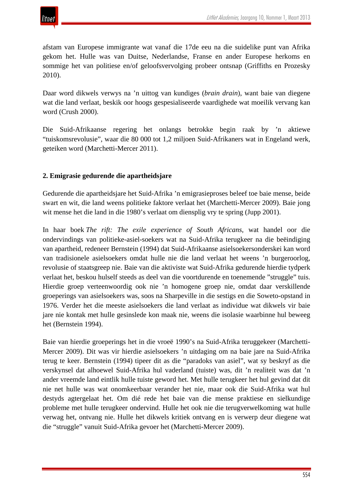

afstam van Europese immigrante wat vanaf die 17de eeu na die suidelike punt van Afrika gekom het. Hulle was van Duitse, Nederlandse, Franse en ander Europese herkoms en sommige het van politiese en/of geloofsvervolging probeer ontsnap (Griffiths en Prozesky 2010).

Daar word dikwels verwys na 'n uittog van kundiges (*brain drain*), want baie van diegene wat die land verlaat, beskik oor hoogs gespesialiseerde vaardighede wat moeilik vervang kan word (Crush 2000).

Die Suid-Afrikaanse regering het onlangs betrokke begin raak by 'n aktiewe "tuiskomsrevolusie", waar die 80 000 tot 1,2 miljoen Suid-Afrikaners wat in Engeland werk, geteiken word (Marchetti-Mercer 2011).

## **2. Emigrasie gedurende die apartheidsjare**

Gedurende die apartheidsjare het Suid-Afrika 'n emigrasieproses beleef toe baie mense, beide swart en wit, die land weens politieke faktore verlaat het (Marchetti-Mercer 2009). Baie jong wit mense het die land in die 1980's verlaat om diensplig vry te spring (Jupp 2001).

In haar boek *The rift: The exile experience of South Africans*, wat handel oor die ondervindings van politieke-asiel-soekers wat na Suid-Afrika terugkeer na die beëindiging van apartheid, redeneer Bernstein (1994) dat Suid-Afrikaanse asielsoekersonderskei kan word van tradisionele asielsoekers omdat hulle nie die land verlaat het weens 'n burgeroorlog, revolusie of staatsgreep nie. Baie van die aktiviste wat Suid-Afrika gedurende hierdie tydperk verlaat het, beskou hulself steeds as deel van die voortdurende en toenemende "struggle" tuis. Hierdie groep verteenwoordig ook nie 'n homogene groep nie, omdat daar verskillende groeperings van asielsoekers was, soos na Sharpeville in die sestigs en die Soweto-opstand in 1976. Verder het die meeste asielsoekers die land verlaat as individue wat dikwels vir baie jare nie kontak met hulle gesinslede kon maak nie, weens die isolasie waarbinne hul beweeg het (Bernstein 1994).

Baie van hierdie groeperings het in die vroeë 1990's na Suid-Afrika teruggekeer (Marchetti-Mercer 2009). Dit was vir hierdie asielsoekers 'n uitdaging om na baie jare na Suid-Afrika terug te keer. Bernstein (1994) tipeer dit as die "paradoks van asiel", wat sy beskryf as die verskynsel dat alhoewel Suid-Afrika hul vaderland (tuiste) was, dit 'n realiteit was dat 'n ander vreemde land eintlik hulle tuiste geword het. Met hulle terugkeer het hul gevind dat dit nie net hulle was wat onomkeerbaar verander het nie, maar ook die Suid-Afrika wat hul destyds agtergelaat het. Om dié rede het baie van die mense praktiese en sielkundige probleme met hulle terugkeer ondervind. Hulle het ook nie die terugverwelkoming wat hulle verwag het, ontvang nie. Hulle het dikwels kritiek ontvang en is verwerp deur diegene wat die "struggle" vanuit Suid-Afrika gevoer het (Marchetti-Mercer 2009).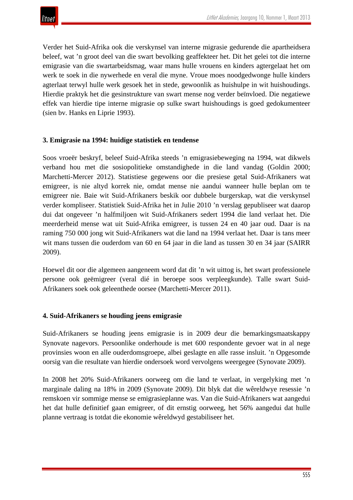Verder het Suid-Afrika ook die verskynsel van interne migrasie gedurende die apartheidsera beleef, wat 'n groot deel van die swart bevolking geaffekteer het. Dit het gelei tot die interne emigrasie van die swartarbeidsmag, waar mans hulle vrouens en kinders agtergelaat het om werk te soek in die nywerhede en veral die myne. Vroue moes noodgedwonge hulle kinders agterlaat terwyl hulle werk gesoek het in stede, gewoonlik as huishulpe in wit huishoudings. Hierdie praktyk het die gesinstrukture van swart mense nog verder beïnvloed. Die negatiewe effek van hierdie tipe interne migrasie op sulke swart huishoudings is goed gedokumenteer (sien bv. Hanks en Liprie 1993).

#### **3. Emigrasie na 1994: huidige statistiek en tendense**

Soos vroeër beskryf, beleef Suid-Afrika steeds 'n emigrasiebeweging na 1994, wat dikwels verband hou met die sosiopolitieke omstandighede in die land vandag (Goldin 2000; Marchetti-Mercer 2012). Statistiese gegewens oor die presiese getal Suid-Afrikaners wat emigreer, is nie altyd korrek nie, omdat mense nie aandui wanneer hulle beplan om te emigreer nie. Baie wit Suid-Afrikaners beskik oor dubbele burgerskap, wat die verskynsel verder kompliseer. Statistiek Suid-Afrika het in Julie 2010 'n verslag gepubliseer wat daarop dui dat ongeveer 'n halfmiljoen wit Suid-Afrikaners sedert 1994 die land verlaat het. Die meerderheid mense wat uit Suid-Afrika emigreer, is tussen 24 en 40 jaar oud. Daar is na raming 750 000 jong wit Suid-Afrikaners wat die land na 1994 verlaat het. Daar is tans meer wit mans tussen die ouderdom van 60 en 64 jaar in die land as tussen 30 en 34 jaar (SAIRR 2009).

Hoewel dit oor die algemeen aangeneem word dat dit 'n wit uittog is, het swart professionele persone ook geëmigreer (veral dié in beroepe soos verpleegkunde). Talle swart Suid-Afrikaners soek ook geleenthede oorsee (Marchetti-Mercer 2011).

#### **4. Suid-Afrikaners se houding jeens emigrasie**

Suid-Afrikaners se houding jeens emigrasie is in 2009 deur die bemarkingsmaatskappy Synovate nagevors. Persoonlike onderhoude is met 600 respondente gevoer wat in al nege provinsies woon en alle ouderdomsgroepe, albei geslagte en alle rasse insluit. 'n Opgesomde oorsig van die resultate van hierdie ondersoek word vervolgens weergegee (Synovate 2009).

In 2008 het 20% Suid-Afrikaners oorweeg om die land te verlaat, in vergelyking met 'n marginale daling na 18% in 2009 (Synovate 2009). Dit blyk dat die wêreldwye resessie 'n remskoen vir sommige mense se emigrasieplanne was. Van die Suid-Afrikaners wat aangedui het dat hulle definitief gaan emigreer, of dit ernstig oorweeg, het 56% aangedui dat hulle planne vertraag is totdat die ekonomie wêreldwyd gestabiliseer het.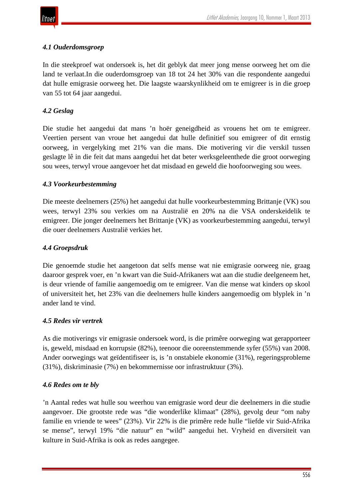

## *4.1 Ouderdomsgroep*

In die steekproef wat ondersoek is, het dit geblyk dat meer jong mense oorweeg het om die land te verlaat.In die ouderdomsgroep van 18 tot 24 het 30% van die respondente aangedui dat hulle emigrasie oorweeg het. Die laagste waarskynlikheid om te emigreer is in die groep van 55 tot 64 jaar aangedui.

## *4.2 Geslag*

Die studie het aangedui dat mans 'n hoër geneigdheid as vrouens het om te emigreer. Veertien persent van vroue het aangedui dat hulle definitief sou emigreer of dit ernstig oorweeg, in vergelyking met 21% van die mans. Die motivering vir die verskil tussen geslagte lê in die feit dat mans aangedui het dat beter werksgeleenthede die groot oorweging sou wees, terwyl vroue aangevoer het dat misdaad en geweld die hoofoorweging sou wees.

#### *4.3 Voorkeurbestemming*

Die meeste deelnemers (25%) het aangedui dat hulle voorkeurbestemming Brittanje (VK) sou wees, terwyl 23% sou verkies om na Australië en 20% na die VSA onderskeidelik te emigreer. Die jonger deelnemers het Brittanje (VK) as voorkeurbestemming aangedui, terwyl die ouer deelnemers Australië verkies het.

#### *4.4 Groepsdruk*

Die genoemde studie het aangetoon dat selfs mense wat nie emigrasie oorweeg nie, graag daaroor gesprek voer, en 'n kwart van die Suid-Afrikaners wat aan die studie deelgeneem het, is deur vriende of familie aangemoedig om te emigreer. Van die mense wat kinders op skool of universiteit het, het 23% van die deelnemers hulle kinders aangemoedig om blyplek in 'n ander land te vind.

#### *4.5 Redes vir vertrek*

As die motiverings vir emigrasie ondersoek word, is die primêre oorweging wat gerapporteer is, geweld, misdaad en korrupsie (82%), teenoor die ooreenstemmende syfer (55%) van 2008. Ander oorwegings wat geïdentifiseer is, is 'n onstabiele ekonomie (31%), regeringsprobleme (31%), diskriminasie (7%) en bekommernisse oor infrastruktuur (3%).

#### *4.6 Redes om te bly*

'n Aantal redes wat hulle sou weerhou van emigrasie word deur die deelnemers in die studie aangevoer. Die grootste rede was "die wonderlike klimaat" (28%), gevolg deur "om naby familie en vriende te wees" (23%). Vir 22% is die primêre rede hulle "liefde vir Suid-Afrika se mense", terwyl 19% "die natuur" en "wild" aangedui het. Vryheid en diversiteit van kulture in Suid-Afrika is ook as redes aangegee.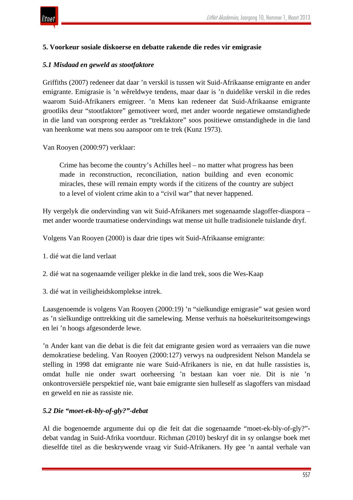

#### **5. Voorkeur sosiale diskoerse en debatte rakende die redes vir emigrasie**

#### *5.1 Misdaad en geweld as stootfaktore*

Griffiths (2007) redeneer dat daar 'n verskil is tussen wit Suid-Afrikaanse emigrante en ander emigrante. Emigrasie is 'n wêreldwye tendens, maar daar is 'n duidelike verskil in die redes waarom Suid-Afrikaners emigreer. 'n Mens kan redeneer dat Suid-Afrikaanse emigrante grootliks deur "stootfaktore" gemotiveer word, met ander woorde negatiewe omstandighede in die land van oorsprong eerder as "trekfaktore" soos positiewe omstandighede in die land van heenkome wat mens sou aanspoor om te trek (Kunz 1973).

Van Rooyen (2000:97) verklaar:

Crime has become the country's Achilles heel – no matter what progress has been made in reconstruction, reconciliation, nation building and even economic miracles, these will remain empty words if the citizens of the country are subject to a level of violent crime akin to a "civil war" that never happened.

Hy vergelyk die ondervinding van wit Suid-Afrikaners met sogenaamde slagoffer-diaspora – met ander woorde traumatiese ondervindings wat mense uit hulle tradisionele tuislande dryf.

Volgens Van Rooyen (2000) is daar drie tipes wit Suid-Afrikaanse emigrante:

- 1. dié wat die land verlaat
- 2. dié wat na sogenaamde veiliger plekke in die land trek, soos die Wes-Kaap
- 3. dié wat in veiligheidskomplekse intrek.

Laasgenoemde is volgens Van Rooyen (2000:19) 'n "sielkundige emigrasie" wat gesien word as 'n sielkundige onttrekking uit die samelewing. Mense verhuis na hoësekuriteitsomgewings en lei 'n hoogs afgesonderde lewe.

'n Ander kant van die debat is die feit dat emigrante gesien word as verraaiers van die nuwe demokratiese bedeling. Van Rooyen (2000:127) verwys na oudpresident Nelson Mandela se stelling in 1998 dat emigrante nie ware Suid-Afrikaners is nie, en dat hulle rassisties is, omdat hulle nie onder swart oorheersing 'n bestaan kan voer nie. Dit is nie 'n onkontroversiële perspektief nie, want baie emigrante sien hulleself as slagoffers van misdaad en geweld en nie as rassiste nie.

#### *5.2 Die "moet-ek-bly-of-gly?"-debat*

Al die bogenoemde argumente dui op die feit dat die sogenaamde "moet-ek-bly-of-gly?" debat vandag in Suid-Afrika voortduur. Richman (2010) beskryf dit in sy onlangse boek met dieselfde titel as die beskrywende vraag vir Suid-Afrikaners. Hy gee 'n aantal verhale van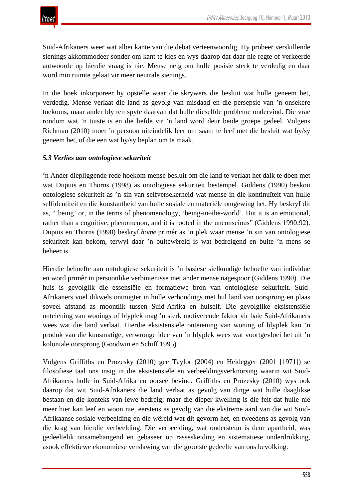

Suid-Afrikaners weer wat albei kante van die debat verteenwoordig. Hy probeer verskillende sienings akkommodeer sonder om kant te kies en wys daarop dat daar nie regte of verkeerde antwoorde op hierdie vraag is nie. Mense neig om hulle posisie sterk te verdedig en daar word min ruimte gelaat vir meer neutrale sienings.

In die boek inkorporeer hy opstelle waar die skrywers die besluit wat hulle geneem het, verdedig. Mense verlaat die land as gevolg van misdaad en die persepsie van 'n onsekere toekoms, maar ander bly ten spyte daarvan dat hulle dieselfde probleme ondervind. Die vrae rondom wat 'n tuiste is en die liefde vir 'n land word deur beide groepe gedeel. Volgens Richman (2010) moet 'n persoon uiteindelik leer om saam te leef met die besluit wat hy/sy geneem het, of die een wat hy/sy beplan om te maak.

#### *5.3 Verlies aan ontologiese sekuriteit*

'n Ander diepliggende rede hoekom mense besluit om die land te verlaat het dalk te doen met wat Dupuis en Thorns (1998) as ontologiese sekuriteit bestempel. Giddens (1990) beskou ontologiese sekuriteit as 'n sin van selfversekerheid wat mense in die kontinuïteit van hulle selfidentiteit en die konstantheid van hulle sosiale en materiële omgewing het. Hy beskryf dit as, "'being' or, in the terms of phenomenology, 'being-in–the-world'. But it is an emotional, rather than a cognitive, phenomenon, and it is rooted in the unconscious" (Giddens 1990:92). Dupuis en Thorns (1998) beskryf *home* primêr as 'n plek waar mense 'n sin van ontologiese sekuriteit kan bekom, terwyl daar 'n buitewêreld is wat bedreigend en buite 'n mens se beheer is.

Hierdie behoefte aan ontologiese sekuriteit is 'n basiese sielkundige behoefte van individue en word primêr in persoonlike verbintenisse met ander mense nagespoor (Giddens 1990). Die huis is gevolglik die essensiële en formatiewe bron van ontologiese sekuriteit. Suid-Afrikaners voel dikwels ontnugter in hulle verhoudings met hul land van oorsprong en plaas soveel afstand as moontlik tussen Suid-Afrika en hulself. Die gevolglike eksistensiële onteiening van wonings of blyplek mag 'n sterk motiverende faktor vir baie Suid-Afrikaners wees wat die land verlaat. Hierdie eksistensiële onteiening van woning of blyplek kan 'n produk van die kunsmatige, verwronge idee van 'n blyplek wees wat voortgevloei het uit 'n koloniale oorsprong (Goodwin en Schiff 1995).

Volgens Griffiths en Prozesky (2010) gee Taylor (2004) en Heidegger (2001 [1971]) se filosofiese taal ons insig in die eksistensiële en verbeeldingsverknorsing waarin wit Suid-Afrikaners hulle in Suid-Afrika en oorsee bevind. Griffiths en Prozesky (2010) wys ook daarop dat wit Suid-Afrikaners die land verlaat as gevolg van dinge wat hulle daaglikse bestaan en die konteks van lewe bedreig; maar die dieper kwelling is die feit dat hulle nie meer hier kan leef en woon nie, eerstens as gevolg van die ekstreme aard van die wit Suid-Afrikaanse sosiale verbeelding en die wêreld wat dit gevorm het, en tweedens as gevolg van die krag van hierdie verbeelding. Die verbeelding, wat ondersteun is deur apartheid, was gedeeltelik onsamehangend en gebaseer op rasseskeiding en sistematiese onderdrukking, asook effektiewe ekonomiese verslawing van die grootste gedeelte van ons bevolking.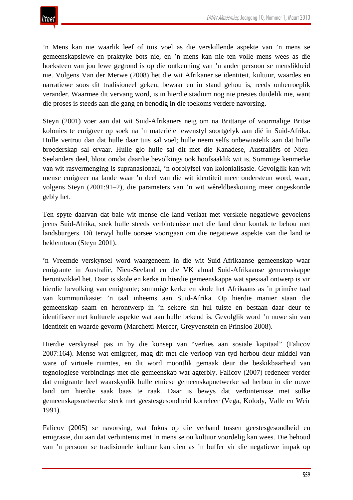'n Mens kan nie waarlik leef of tuis voel as die verskillende aspekte van 'n mens se gemeenskapslewe en praktyke bots nie, en 'n mens kan nie ten volle mens wees as die hoeksteen van jou lewe gegrond is op die ontkenning van 'n ander persoon se menslikheid nie. Volgens Van der Merwe (2008) het die wit Afrikaner se identiteit, kultuur, waardes en narratiewe soos dit tradisioneel geken, bewaar en in stand gehou is, reeds onherroeplik verander. Waarmee dit vervang word, is in hierdie stadium nog nie presies duidelik nie, want die proses is steeds aan die gang en benodig in die toekoms verdere navorsing.

Steyn (2001) voer aan dat wit Suid-Afrikaners neig om na Brittanje of voormalige Britse kolonies te emigreer op soek na 'n materiële lewenstyl soortgelyk aan dié in Suid-Afrika. Hulle vertrou dan dat hulle daar tuis sal voel; hulle neem selfs onbewustelik aan dat hulle broederskap sal ervaar. Hulle glo hulle sal dit met die Kanadese, Australiërs of Nieu-Seelanders deel, bloot omdat daardie bevolkings ook hoofsaaklik wit is. Sommige kenmerke van wit rasvermenging is supranasionaal, 'n oorblyfsel van kolonialisasie. Gevolglik kan wit mense emigreer na lande waar 'n deel van die wit identiteit meer ondersteun word, waar, volgens Steyn (2001:91–2), die parameters van 'n wit wêreldbeskouing meer ongeskonde gebly het.

Ten spyte daarvan dat baie wit mense die land verlaat met verskeie negatiewe gevoelens jeens Suid-Afrika, soek hulle steeds verbintenisse met die land deur kontak te behou met landsburgers. Dít terwyl hulle oorsee voortgaan om die negatiewe aspekte van die land te beklemtoon (Steyn 2001).

'n Vreemde verskynsel word waargeneem in die wit Suid-Afrikaanse gemeenskap waar emigrante in Australië, Nieu-Seeland en die VK almal Suid-Afrikaanse gemeenskappe herontwikkel het. Daar is skole en kerke in hierdie gemeenskappe wat spesiaal ontwerp is vir hierdie bevolking van emigrante; sommige kerke en skole het Afrikaans as 'n primêre taal van kommunikasie: 'n taal inheems aan Suid-Afrika. Op hierdie manier staan die gemeenskap saam en herontwerp in 'n sekere sin hul tuiste en bestaan daar deur te identifiseer met kulturele aspekte wat aan hulle bekend is. Gevolglik word 'n nuwe sin van identiteit en waarde gevorm (Marchetti-Mercer, Greyvenstein en Prinsloo 2008).

Hierdie verskynsel pas in by die konsep van "verlies aan sosiale kapitaal" (Falicov 2007:164). Mense wat emigreer, mag dit met die verloop van tyd herbou deur middel van ware of virtuele ruimtes, en dit word moontlik gemaak deur die beskikbaarheid van tegnologiese verbindings met die gemeenskap wat agterbly. Falicov (2007) redeneer verder dat emigrante heel waarskynlik hulle etniese gemeenskapnetwerke sal herbou in die nuwe land om hierdie saak baas te raak. Daar is bewys dat verbintenisse met sulke gemeenskapsnetwerke sterk met geestesgesondheid korreleer (Vega, Kolody, Valle en Weir 1991).

Falicov (2005) se navorsing, wat fokus op die verband tussen geestesgesondheid en emigrasie, dui aan dat verbintenis met 'n mens se ou kultuur voordelig kan wees. Die behoud van 'n persoon se tradisionele kultuur kan dien as 'n buffer vir die negatiewe impak op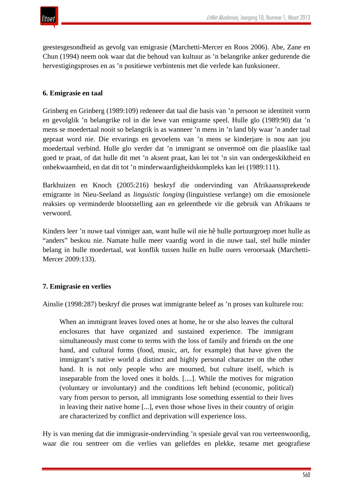

geestesgesondheid as gevolg van emigrasie (Marchetti-Mercer en Roos 2006). Abe, Zane en Chun (1994) neem ook waar dat die behoud van kultuur as 'n belangrike anker gedurende die hervestigingsproses en as 'n positiewe verbintenis met die verlede kan funksioneer.

#### **6. Emigrasie en taal**

Grinberg en Grinberg (1989:109) redeneer dat taal die basis van 'n persoon se identiteit vorm en gevolglik 'n belangrike rol in die lewe van emigrante speel. Hulle glo (1989:90) dat 'n mens se moedertaal nooit so belangrik is as wanneer 'n mens in 'n land bly waar 'n ander taal gepraat word nie. Die ervarings en gevoelens van 'n mens se kinderjare is nou aan jou moedertaal verbind. Hulle glo verder dat 'n immigrant se onvermoë om die plaaslike taal goed te praat, of dat hulle dit met 'n aksent praat, kan lei tot 'n sin van ondergeskiktheid en onbekwaamheid, en dat dit tot 'n minderwaardigheidskompleks kan lei (1989:111).

Barkhuizen en Knoch (2005:216) beskryf die ondervinding van Afrikaanssprekende emigrante in Nieu-Seeland as *linguistic longing* (linguistiese verlange) om die emosionele reaksies op verminderde blootstelling aan en geleenthede vir die gebruik van Afrikaans te verwoord.

Kinders leer 'n nuwe taal vinniger aan, want hulle wil nie hê hulle portuurgroep moet hulle as "anders" beskou nie. Namate hulle meer vaardig word in die nuwe taal, stel hulle minder belang in hulle moedertaal, wat konflik tussen hulle en hulle ouers veroorsaak (Marchetti-Mercer 2009:133).

#### **7. Emigrasie en verlies**

Ainslie (1998:287) beskryf die proses wat immigrante beleef as 'n proses van kulturele rou:

When an immigrant leaves loved ones at home, he or she also leaves the cultural enclosures that have organized and sustained experience. The immigrant simultaneously must come to terms with the loss of family and friends on the one hand, and cultural forms (food, music, art, for example) that have given the immigrant's native world a distinct and highly personal character on the other hand. It is not only people who are mourned, but culture itself, which is inseparable from the loved ones it holds. [....]. While the motives for migration (voluntary or involuntary) and the conditions left behind (economic, political) vary from person to person, all immigrants lose something essential to their lives in leaving their native home [...], even those whose lives in their country of origin are characterized by conflict and deprivation will experience loss.

Hy is van mening dat die immigrasie-ondervinding 'n spesiale geval van rou verteenwoordig, waar die rou sentreer om die verlies van geliefdes en plekke, tesame met geografiese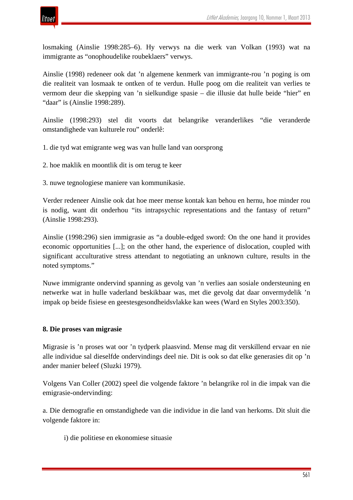

losmaking (Ainslie 1998:285–6). Hy verwys na die werk van Volkan (1993) wat na immigrante as "onophoudelike roubeklaers" verwys.

Ainslie (1998) redeneer ook dat 'n algemene kenmerk van immigrante-rou 'n poging is om die realiteit van losmaak te ontken of te verdun. Hulle poog om die realiteit van verlies te vermom deur die skepping van 'n sielkundige spasie – die illusie dat hulle beide "hier" en "daar" is (Ainslie 1998:289).

Ainslie (1998:293) stel dit voorts dat belangrike veranderlikes "die veranderde omstandighede van kulturele rou" onderlê:

- 1. die tyd wat emigrante weg was van hulle land van oorsprong
- 2. hoe maklik en moontlik dit is om terug te keer
- 3. nuwe tegnologiese maniere van kommunikasie.

Verder redeneer Ainslie ook dat hoe meer mense kontak kan behou en hernu, hoe minder rou is nodig, want dit onderhou "its intrapsychic representations and the fantasy of return" (Ainslie 1998:293).

Ainslie (1998:296) sien immigrasie as "a double-edged sword: On the one hand it provides economic opportunities [...]; on the other hand, the experience of dislocation, coupled with significant acculturative stress attendant to negotiating an unknown culture, results in the noted symptoms."

Nuwe immigrante ondervind spanning as gevolg van 'n verlies aan sosiale ondersteuning en netwerke wat in hulle vaderland beskikbaar was, met die gevolg dat daar onvermydelik 'n impak op beide fisiese en geestesgesondheidsvlakke kan wees (Ward en Styles 2003:350).

#### **8. Die proses van migrasie**

Migrasie is 'n proses wat oor 'n tydperk plaasvind. Mense mag dit verskillend ervaar en nie alle individue sal dieselfde ondervindings deel nie. Dit is ook so dat elke generasies dit op 'n ander manier beleef (Sluzki 1979).

Volgens Van Coller (2002) speel die volgende faktore 'n belangrike rol in die impak van die emigrasie-ondervinding:

a. Die demografie en omstandighede van die individue in die land van herkoms. Dit sluit die volgende faktore in:

i) die politiese en ekonomiese situasie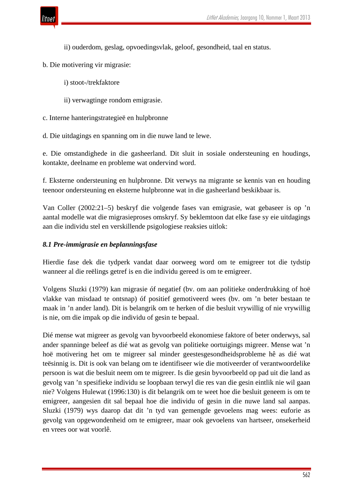

- ii) ouderdom, geslag, opvoedingsvlak, geloof, gesondheid, taal en status.
- b. Die motivering vir migrasie:
	- i) stoot-/trekfaktore
	- ii) verwagtinge rondom emigrasie.
- c. Interne hanteringstrategieë en hulpbronne
- d. Die uitdagings en spanning om in die nuwe land te lewe.

e. Die omstandighede in die gasheerland. Dit sluit in sosiale ondersteuning en houdings, kontakte, deelname en probleme wat ondervind word.

f. Eksterne ondersteuning en hulpbronne. Dit verwys na migrante se kennis van en houding teenoor ondersteuning en eksterne hulpbronne wat in die gasheerland beskikbaar is.

Van Coller (2002:21–5) beskryf die volgende fases van emigrasie, wat gebaseer is op 'n aantal modelle wat die migrasieproses omskryf. Sy beklemtoon dat elke fase sy eie uitdagings aan die individu stel en verskillende psigologiese reaksies uitlok:

#### *8.1 Pre-immigrasie en beplanningsfase*

Hierdie fase dek die tydperk vandat daar oorweeg word om te emigreer tot die tydstip wanneer al die reëlings getref is en die individu gereed is om te emigreer.

Volgens Sluzki (1979) kan migrasie óf negatief (bv. om aan politieke onderdrukking of hoë vlakke van misdaad te ontsnap) óf positief gemotiveerd wees (bv. om 'n beter bestaan te maak in 'n ander land). Dit is belangrik om te herken of die besluit vrywillig of nie vrywillig is nie, om die impak op die individu of gesin te bepaal.

Dié mense wat migreer as gevolg van byvoorbeeld ekonomiese faktore of beter onderwys, sal ander spanninge beleef as dié wat as gevolg van politieke oortuigings migreer. Mense wat 'n hoë motivering het om te migreer sal minder geestesgesondheidsprobleme hê as dié wat teësinnig is. Dit is ook van belang om te identifiseer wie die motiveerder of verantwoordelike persoon is wat die besluit neem om te migreer. Is die gesin byvoorbeeld op pad uit die land as gevolg van 'n spesifieke individu se loopbaan terwyl die res van die gesin eintlik nie wil gaan nie? Volgens Hulewat (1996:130) is dit belangrik om te weet hoe die besluit geneem is om te emigreer, aangesien dit sal bepaal hoe die individu of gesin in die nuwe land sal aanpas. Sluzki (1979) wys daarop dat dit 'n tyd van gemengde gevoelens mag wees: euforie as gevolg van opgewondenheid om te emigreer, maar ook gevoelens van hartseer, onsekerheid en vrees oor wat voorlê.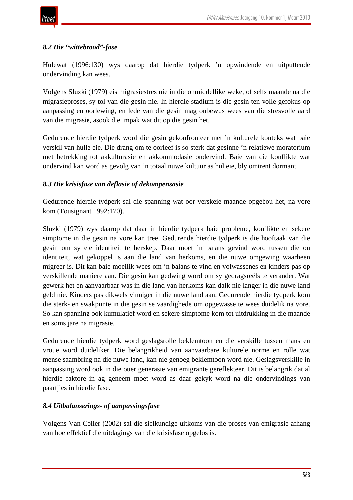## *8.2 Die "wittebrood"-fase*

Hulewat (1996:130) wys daarop dat hierdie tydperk 'n opwindende en uitputtende ondervinding kan wees.

Volgens Sluzki (1979) eis migrasiestres nie in die onmiddellike weke, of selfs maande na die migrasieproses, sy tol van die gesin nie. In hierdie stadium is die gesin ten volle gefokus op aanpassing en oorlewing, en lede van die gesin mag onbewus wees van die stresvolle aard van die migrasie, asook die impak wat dit op die gesin het.

Gedurende hierdie tydperk word die gesin gekonfronteer met 'n kulturele konteks wat baie verskil van hulle eie. Die drang om te oorleef is so sterk dat gesinne 'n relatiewe moratorium met betrekking tot akkulturasie en akkommodasie ondervind. Baie van die konflikte wat ondervind kan word as gevolg van 'n totaal nuwe kultuur as hul eie, bly omtrent dormant.

#### *8.3 Die krisisfase van deflasie of dekompensasie*

Gedurende hierdie tydperk sal die spanning wat oor verskeie maande opgebou het, na vore kom (Tousignant 1992:170).

Sluzki (1979) wys daarop dat daar in hierdie tydperk baie probleme, konflikte en sekere simptome in die gesin na vore kan tree. Gedurende hierdie tydperk is die hooftaak van die gesin om sy eie identiteit te herskep. Daar moet 'n balans gevind word tussen die ou identiteit, wat gekoppel is aan die land van herkoms, en die nuwe omgewing waarheen migreer is. Dit kan baie moeilik wees om 'n balans te vind en volwassenes en kinders pas op verskillende maniere aan. Die gesin kan gedwing word om sy gedragsreëls te verander. Wat gewerk het en aanvaarbaar was in die land van herkoms kan dalk nie langer in die nuwe land geld nie. Kinders pas dikwels vinniger in die nuwe land aan. Gedurende hierdie tydperk kom die sterk- en swakpunte in die gesin se vaardighede om opgewasse te wees duidelik na vore. So kan spanning ook kumulatief word en sekere simptome kom tot uitdrukking in die maande en soms jare na migrasie.

Gedurende hierdie tydperk word geslagsrolle beklemtoon en die verskille tussen mans en vroue word duideliker. Die belangrikheid van aanvaarbare kulturele norme en rolle wat mense saambring na die nuwe land, kan nie genoeg beklemtoon word nie. Geslagsverskille in aanpassing word ook in die ouer generasie van emigrante gereflekteer. Dit is belangrik dat al hierdie faktore in ag geneem moet word as daar gekyk word na die ondervindings van paartjies in hierdie fase.

## *8.4 Uitbalanserings- of aanpassingsfase*

Volgens Van Coller (2002) sal die sielkundige uitkoms van die proses van emigrasie afhang van hoe effektief die uitdagings van die krisisfase opgelos is.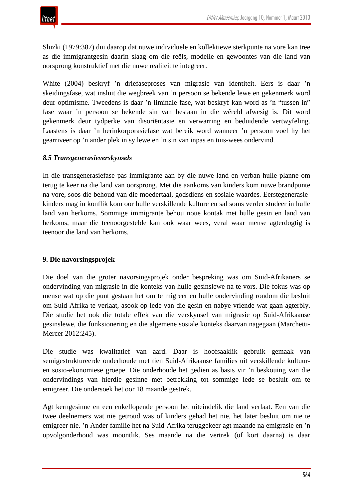

Sluzki (1979:387) dui daarop dat nuwe individuele en kollektiewe sterkpunte na vore kan tree as die immigrantgesin daarin slaag om die reëls, modelle en gewoontes van die land van oorsprong konstruktief met die nuwe realiteit te integreer.

White (2004) beskryf 'n driefaseproses van migrasie van identiteit. Eers is daar 'n skeidingsfase, wat insluit die wegbreek van 'n persoon se bekende lewe en gekenmerk word deur optimisme. Tweedens is daar 'n liminale fase, wat beskryf kan word as 'n "tussen-in" fase waar 'n persoon se bekende sin van bestaan in die wêreld afwesig is. Dit word gekenmerk deur tydperke van disoriëntasie en verwarring en beduidende vertwyfeling. Laastens is daar 'n herinkorporasiefase wat bereik word wanneer 'n persoon voel hy het gearriveer op 'n ander plek in sy lewe en 'n sin van inpas en tuis-wees ondervind.

#### *8.5 Transgenerasieverskynsels*

In die transgenerasiefase pas immigrante aan by die nuwe land en verban hulle planne om terug te keer na die land van oorsprong. Met die aankoms van kinders kom nuwe brandpunte na vore, soos die behoud van die moedertaal, godsdiens en sosiale waardes. Eerstegenerasiekinders mag in konflik kom oor hulle verskillende kulture en sal soms verder studeer in hulle land van herkoms. Sommige immigrante behou noue kontak met hulle gesin en land van herkoms, maar die teenoorgestelde kan ook waar wees, veral waar mense agterdogtig is teenoor die land van herkoms.

#### **9. Die navorsingsprojek**

Die doel van die groter navorsingsprojek onder bespreking was om Suid-Afrikaners se ondervinding van migrasie in die konteks van hulle gesinslewe na te vors. Die fokus was op mense wat op die punt gestaan het om te migreer en hulle ondervinding rondom die besluit om Suid-Afrika te verlaat, asook op lede van die gesin en nabye vriende wat gaan agterbly. Die studie het ook die totale effek van die verskynsel van migrasie op Suid-Afrikaanse gesinslewe, die funksionering en die algemene sosiale konteks daarvan nagegaan (Marchetti-Mercer 2012:245).

Die studie was kwalitatief van aard. Daar is hoofsaaklik gebruik gemaak van semigestruktureerde onderhoude met tien Suid-Afrikaanse families uit verskillende kultuuren sosio-ekonomiese groepe. Die onderhoude het gedien as basis vir 'n beskouing van die ondervindings van hierdie gesinne met betrekking tot sommige lede se besluit om te emigreer. Die ondersoek het oor 18 maande gestrek.

Agt kerngesinne en een enkellopende persoon het uiteindelik die land verlaat. Een van die twee deelnemers wat nie getroud was of kinders gehad het nie, het later besluit om nie te emigreer nie. 'n Ander familie het na Suid-Afrika teruggekeer agt maande na emigrasie en 'n opvolgonderhoud was moontlik. Ses maande na die vertrek (of kort daarna) is daar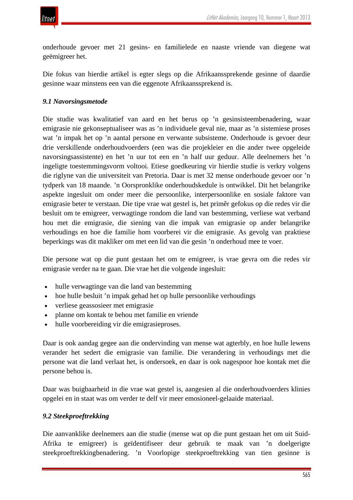

onderhoude gevoer met 21 gesins- en familielede en naaste vriende van diegene wat geëmigreer het.

Die fokus van hierdie artikel is egter slegs op die Afrikaanssprekende gesinne of daardie gesinne waar minstens een van die eggenote Afrikaanssprekend is.

#### *9.1 Navorsingsmetode*

Die studie was kwalitatief van aard en het berus op 'n gesinsisteembenadering, waar emigrasie nie gekonseptualiseer was as 'n individuele geval nie, maar as 'n sistemiese proses wat 'n impak het op 'n aantal persone en verwante subsisteme. Onderhoude is gevoer deur drie verskillende onderhoudvoerders (een was die projekleier en die ander twee opgeleide navorsingsassistente) en het 'n uur tot een en 'n half uur geduur. Alle deelnemers het 'n ingeligte toestemmingsvorm voltooi. Etiese goedkeuring vir hierdie studie is verkry volgens die riglyne van die universiteit van Pretoria. Daar is met 32 mense onderhoude gevoer oor 'n tydperk van 18 maande. 'n Oorspronklike onderhoudskedule is ontwikkel. Dit het belangrike aspekte ingesluit om onder meer die persoonlike, interpersoonlike en sosiale faktore van emigrasie beter te verstaan. Die tipe vrae wat gestel is, het primêr gefokus op die redes vir die besluit om te emigreer, verwagtinge rondom die land van bestemming, verliese wat verband hou met die emigrasie, die siening van die impak van emigrasie op ander belangrike verhoudings en hoe die familie hom voorberei vir die emigrasie. As gevolg van praktiese beperkings was dit makliker om met een lid van die gesin 'n onderhoud mee te voer.

Die persone wat op die punt gestaan het om te emigreer, is vrae gevra om die redes vir emigrasie verder na te gaan. Die vrae het die volgende ingesluit:

- hulle verwagtinge van die land van bestemming
- hoe hulle besluit 'n impak gehad het op hulle persoonlike verhoudings
- verliese geassosieer met emigrasie
- planne om kontak te behou met familie en vriende
- hulle voorbereiding vir die emigrasieproses.

Daar is ook aandag gegee aan die ondervinding van mense wat agterbly, en hoe hulle lewens verander het sedert die emigrasie van familie. Die verandering in verhoudings met die persone wat die land verlaat het, is ondersoek, en daar is ook nagespoor hoe kontak met die persone behou is.

Daar was buigbaarheid in die vrae wat gestel is, aangesien al die onderhoudvoerders klinies opgelei en in staat was om verder te delf vir meer emosioneel-gelaaide materiaal.

#### *9.2 Steekproeftrekking*

Die aanvanklike deelnemers aan die studie (mense wat op die punt gestaan het om uit Suid-Afrika te emigreer) is geïdentifiseer deur gebruik te maak van 'n doelgerigte steekproeftrekkingbenadering. 'n Voorlopige steekproeftrekking van tien gesinne is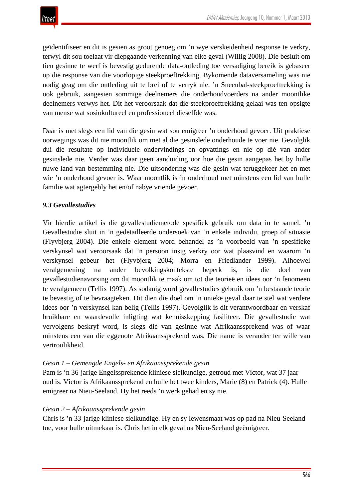

geïdentifiseer en dit is gesien as groot genoeg om 'n wye verskeidenheid response te verkry, terwyl dit sou toelaat vir diepgaande verkenning van elke geval (Willig 2008). Die besluit om tien gesinne te werf is bevestig gedurende data-ontleding toe versadiging bereik is gebaseer op die response van die voorlopige steekproeftrekking. Bykomende dataversameling was nie nodig geag om die ontleding uit te brei of te verryk nie. 'n Sneeubal-steekproeftrekking is ook gebruik, aangesien sommige deelnemers die onderhoudvoerders na ander moontlike deelnemers verwys het. Dit het veroorsaak dat die steekproeftrekking gelaai was ten opsigte van mense wat sosiokultureel en professioneel dieselfde was.

Daar is met slegs een lid van die gesin wat sou emigreer 'n onderhoud gevoer. Uit praktiese oorwegings was dit nie moontlik om met al die gesinslede onderhoude te voer nie. Gevolglik dui die resultate op individuele ondervindings en opvattings en nie op dié van ander gesinslede nie. Verder was daar geen aanduiding oor hoe die gesin aangepas het by hulle nuwe land van bestemming nie. Die uitsondering was die gesin wat teruggekeer het en met wie 'n onderhoud gevoer is. Waar moontlik is 'n onderhoud met minstens een lid van hulle familie wat agtergebly het en/of nabye vriende gevoer.

## *9.3 Gevallestudies*

Vir hierdie artikel is die gevallestudiemetode spesifiek gebruik om data in te samel. 'n Gevallestudie sluit in 'n gedetailleerde ondersoek van 'n enkele individu, groep of situasie (Flyvbjerg 2004). Die enkele element word behandel as 'n voorbeeld van 'n spesifieke verskynsel wat veroorsaak dat 'n persoon insig verkry oor wat plaasvind en waarom 'n verskynsel gebeur het (Flyvbjerg 2004; Morra en Friedlander 1999). Alhoewel veralgemening na ander bevolkingskontekste beperk is, is die doel van gevallestudienavorsing om dit moontlik te maak om tot die teorieë en idees oor 'n fenomeen te veralgemeen (Tellis 1997). As sodanig word gevallestudies gebruik om 'n bestaande teorie te bevestig of te bevraagteken. Dit dien die doel om 'n unieke geval daar te stel wat verdere idees oor 'n verskynsel kan belig (Tellis 1997). Gevolglik is dit verantwoordbaar en verskaf bruikbare en waardevolle inligting wat kennisskepping fasiliteer. Die gevallestudie wat vervolgens beskryf word, is slegs dié van gesinne wat Afrikaanssprekend was of waar minstens een van die eggenote Afrikaanssprekend was. Die name is verander ter wille van vertroulikheid.

#### *Gesin 1 – Gemengde Engels- en Afrikaanssprekende gesin*

Pam is 'n 36-jarige Engelssprekende kliniese sielkundige, getroud met Victor, wat 37 jaar oud is. Victor is Afrikaanssprekend en hulle het twee kinders, Marie (8) en Patrick (4). Hulle emigreer na Nieu-Seeland. Hy het reeds 'n werk gehad en sy nie.

#### *Gesin 2 – Afrikaanssprekende gesin*

Chris is 'n 33-jarige kliniese sielkundige. Hy en sy lewensmaat was op pad na Nieu-Seeland toe, voor hulle uitmekaar is. Chris het in elk geval na Nieu-Seeland geëmigreer.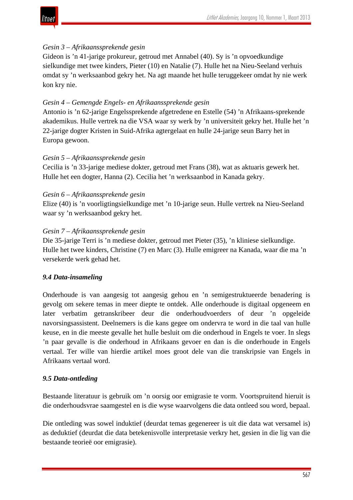

## *Gesin 3 – Afrikaanssprekende gesin*

Gideon is 'n 41-jarige prokureur, getroud met Annabel (40). Sy is 'n opvoedkundige sielkundige met twee kinders, Pieter (10) en Natalie (7). Hulle het na Nieu-Seeland verhuis omdat sy 'n werksaanbod gekry het. Na agt maande het hulle teruggekeer omdat hy nie werk kon kry nie.

## *Gesin 4 – Gemengde Engels- en Afrikaanssprekende gesin*

Antonio is 'n 62-jarige Engelssprekende afgetredene en Estelle (54) 'n Afrikaans-sprekende akademikus. Hulle vertrek na die VSA waar sy werk by 'n universiteit gekry het. Hulle het 'n 22-jarige dogter Kristen in Suid-Afrika agtergelaat en hulle 24-jarige seun Barry het in Europa gewoon.

#### *Gesin 5 – Afrikaanssprekende gesin*

Cecilia is 'n 33-jarige mediese dokter, getroud met Frans (38), wat as aktuaris gewerk het. Hulle het een dogter, Hanna (2). Cecilia het 'n werksaanbod in Kanada gekry.

#### *Gesin 6 – Afrikaanssprekende gesin*

Elize (40) is 'n voorligtingsielkundige met 'n 10-jarige seun. Hulle vertrek na Nieu-Seeland waar sy 'n werksaanbod gekry het.

#### *Gesin 7 – Afrikaanssprekende gesin*

Die 35-jarige Terri is 'n mediese dokter, getroud met Pieter (35), 'n kliniese sielkundige. Hulle het twee kinders, Christine (7) en Marc (3). Hulle emigreer na Kanada, waar die ma 'n versekerde werk gehad het.

## *9.4 Data-insameling*

Onderhoude is van aangesig tot aangesig gehou en 'n semigestruktueerde benadering is gevolg om sekere temas in meer diepte te ontdek. Alle onderhoude is digitaal opgeneem en later verbatim getranskribeer deur die onderhoudvoerders of deur 'n opgeleide navorsingsassistent. Deelnemers is die kans gegee om ondervra te word in die taal van hulle keuse, en in die meeste gevalle het hulle besluit om die onderhoud in Engels te voer. In slegs 'n paar gevalle is die onderhoud in Afrikaans gevoer en dan is die onderhoude in Engels vertaal. Ter wille van hierdie artikel moes groot dele van die transkripsie van Engels in Afrikaans vertaal word.

#### *9.5 Data-ontleding*

Bestaande literatuur is gebruik om 'n oorsig oor emigrasie te vorm. Voortspruitend hieruit is die onderhoudsvrae saamgestel en is die wyse waarvolgens die data ontleed sou word, bepaal.

Die ontleding was sowel induktief (deurdat temas gegenereer is uit die data wat versamel is) as deduktief (deurdat die data betekenisvolle interpretasie verkry het, gesien in die lig van die bestaande teorieë oor emigrasie).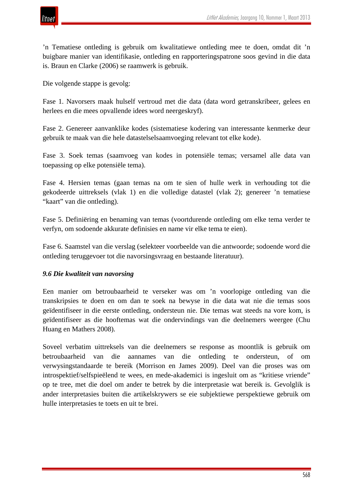

'n Tematiese ontleding is gebruik om kwalitatiewe ontleding mee te doen, omdat dit 'n buigbare manier van identifikasie, ontleding en rapporteringspatrone soos gevind in die data is. Braun en Clarke (2006) se raamwerk is gebruik.

Die volgende stappe is gevolg:

Fase 1. Navorsers maak hulself vertroud met die data (data word getranskribeer, gelees en herlees en die mees opvallende idees word neergeskryf).

Fase 2. Genereer aanvanklike kodes (sistematiese kodering van interessante kenmerke deur gebruik te maak van die hele datastelselsaamvoeging relevant tot elke kode).

Fase 3. Soek temas (saamvoeg van kodes in potensiële temas; versamel alle data van toepassing op elke potensiële tema).

Fase 4. Hersien temas (gaan temas na om te sien of hulle werk in verhouding tot die gekodeerde uittreksels (vlak 1) en die volledige datastel (vlak 2); genereer 'n tematiese "kaart" van die ontleding).

Fase 5. Definiëring en benaming van temas (voortdurende ontleding om elke tema verder te verfyn, om sodoende akkurate definisies en name vir elke tema te eien).

Fase 6. Saamstel van die verslag (selekteer voorbeelde van die antwoorde; sodoende word die ontleding teruggevoer tot die navorsingsvraag en bestaande literatuur).

#### *9.6 Die kwaliteit van navorsing*

Een manier om betroubaarheid te verseker was om 'n voorlopige ontleding van die transkripsies te doen en om dan te soek na bewyse in die data wat nie die temas soos geïdentifiseer in die eerste ontleding, ondersteun nie. Die temas wat steeds na vore kom, is geïdentifiseer as die hooftemas wat die ondervindings van die deelnemers weergee (Chu Huang en Mathers 2008).

Soveel verbatim uittreksels van die deelnemers se response as moontlik is gebruik om betroubaarheid van die aannames van die ontleding te ondersteun, of om verwysingstandaarde te bereik (Morrison en James 2009). Deel van die proses was om introspektief/selfspieëlend te wees, en mede-akademici is ingesluit om as "kritiese vriende" op te tree, met die doel om ander te betrek by die interpretasie wat bereik is. Gevolglik is ander interpretasies buiten die artikelskrywers se eie subjektiewe perspektiewe gebruik om hulle interpretasies te toets en uit te brei.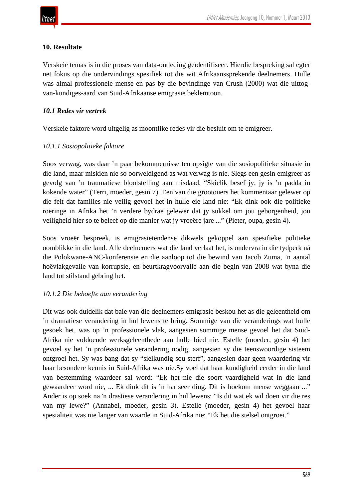## **10. Resultate**

Verskeie temas is in die proses van data-ontleding geïdentifiseer. Hierdie bespreking sal egter net fokus op die ondervindings spesifiek tot die wit Afrikaanssprekende deelnemers. Hulle was almal professionele mense en pas by die bevindinge van Crush (2000) wat die uittogvan-kundiges-aard van Suid-Afrikaanse emigrasie beklemtoon.

## *10.1 Redes vir vertrek*

Verskeie faktore word uitgelig as moontlike redes vir die besluit om te emigreer.

## *10.1.1 Sosiopolitieke faktore*

Soos verwag, was daar 'n paar bekommernisse ten opsigte van die sosiopolitieke situasie in die land, maar miskien nie so oorweldigend as wat verwag is nie. Slegs een gesin emigreer as gevolg van 'n traumatiese blootstelling aan misdaad. "Skielik besef jy, jy is 'n padda in kokende water" (Terri, moeder, gesin 7). Een van die grootouers het kommentaar gelewer op die feit dat families nie veilig gevoel het in hulle eie land nie: "Ek dink ook die politieke roeringe in Afrika het 'n verdere bydrae gelewer dat jy sukkel om jou geborgenheid, jou veiligheid hier so te beleef op die manier wat jy vroeëre jare ..." (Pieter, oupa, gesin 4).

Soos vroeër bespreek, is emigrasietendense dikwels gekoppel aan spesifieke politieke oomblikke in die land. Alle deelnemers wat die land verlaat het, is ondervra in die tydperk ná die Polokwane-ANC-konferensie en die aanloop tot die bewind van Jacob Zuma, 'n aantal hoëvlakgevalle van korrupsie, en beurtkragvoorvalle aan die begin van 2008 wat byna die land tot stilstand gebring het.

#### *10.1.2 Die behoefte aan verandering*

Dit was ook duidelik dat baie van die deelnemers emigrasie beskou het as die geleentheid om 'n dramatiese verandering in hul lewens te bring. Sommige van die veranderings wat hulle gesoek het, was op 'n professionele vlak, aangesien sommige mense gevoel het dat Suid-Afrika nie voldoende werksgeleenthede aan hulle bied nie. Estelle (moeder, gesin 4) het gevoel sy het 'n professionele verandering nodig, aangesien sy die teenswoordige sisteem ontgroei het. Sy was bang dat sy "sielkundig sou sterf", aangesien daar geen waardering vir haar besondere kennis in Suid-Afrika was nie.Sy voel dat haar kundigheid eerder in die land van bestemming waardeer sal word: "Ek het nie die soort vaardigheid wat in die land gewaardeer word nie, ... Ek dink dit is 'n hartseer ding. Dit is hoekom mense weggaan ..." Ander is op soek na 'n drastiese verandering in hul lewens: "Is dit wat ek wil doen vir die res van my lewe?" (Annabel, moeder, gesin 3). Estelle (moeder, gesin 4) het gevoel haar spesialiteit was nie langer van waarde in Suid-Afrika nie: "Ek het die stelsel ontgroei."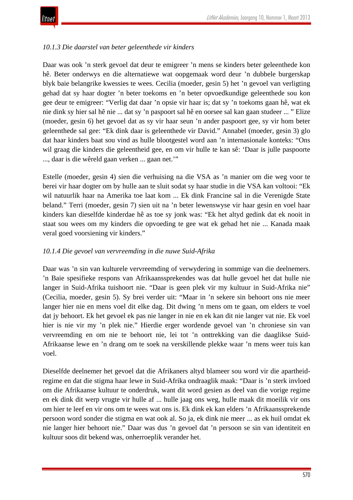

## *10.1.3 Die daarstel van beter geleenthede vir kinders*

Daar was ook 'n sterk gevoel dat deur te emigreer 'n mens se kinders beter geleenthede kon hê. Beter onderwys en die alternatiewe wat oopgemaak word deur 'n dubbele burgerskap blyk baie belangrike kwessies te wees. Cecilia (moeder, gesin 5) het 'n gevoel van verligting gehad dat sy haar dogter 'n beter toekoms en 'n beter opvoedkundige geleenthede sou kon gee deur te emigreer: "Verlig dat daar 'n opsie vir haar is; dat sy 'n toekoms gaan hê, wat ek nie dink sy hier sal hê nie ... dat sy 'n paspoort sal hê en oorsee sal kan gaan studeer ... " Elize (moeder, gesin 6) het gevoel dat as sy vir haar seun 'n ander paspoort gee, sy vir hom beter geleenthede sal gee: "Ek dink daar is geleenthede vir David." Annabel (moeder, gesin 3) glo dat haar kinders baat sou vind as hulle blootgestel word aan 'n internasionale konteks: "Ons wil graag die kinders die geleentheid gee, en om vir hulle te kan sê: 'Daar is julle paspoorte ..., daar is die wêreld gaan verken ... gaan net.'"

Estelle (moeder, gesin 4) sien die verhuising na die VSA as 'n manier om die weg voor te berei vir haar dogter om by hulle aan te sluit sodat sy haar studie in die VSA kan voltooi: "Ek wil natuurlik haar na Amerika toe laat kom ... Ek dink Francine sal in die Verenigde State beland." Terri (moeder, gesin 7) sien uit na 'n beter lewenswyse vir haar gesin en voel haar kinders kan dieselfde kinderdae hê as toe sy jonk was: "Ek het altyd gedink dat ek nooit in staat sou wees om my kinders die opvoeding te gee wat ek gehad het nie ... Kanada maak veral goed voorsiening vir kinders."

#### *10.1.4 Die gevoel van vervreemding in die nuwe Suid-Afrika*

Daar was 'n sin van kulturele vervreemding of verwydering in sommige van die deelnemers. 'n Baie spesifieke respons van Afrikaanssprekendes was dat hulle gevoel het dat hulle nie langer in Suid-Afrika tuishoort nie. "Daar is geen plek vir my kultuur in Suid-Afrika nie" (Cecilia, moeder, gesin 5). Sy brei verder uit: "Maar in 'n sekere sin behoort ons nie meer langer hier nie en mens voel dit elke dag. Dit dwing 'n mens om te gaan, om elders te voel dat jy behoort. Ek het gevoel ek pas nie langer in nie en ek kan dit nie langer vat nie. Ek voel hier is nie vir my 'n plek nie." Hierdie erger wordende gevoel van 'n chroniese sin van vervreemding en om nie te behoort nie, lei tot 'n onttrekking van die daaglikse Suid-Afrikaanse lewe en 'n drang om te soek na verskillende plekke waar 'n mens weer tuis kan voel.

Dieselfde deelnemer het gevoel dat die Afrikaners altyd blameer sou word vir die apartheidregime en dat die stigma haar lewe in Suid-Afrika ondraaglik maak: "Daar is 'n sterk invloed om die Afrikaanse kultuur te onderdruk, want dit word gesien as deel van die vorige regime en ek dink dit werp vrugte vir hulle af ... hulle jaag ons weg, hulle maak dit moeilik vir ons om hier te leef en vir ons om te wees wat ons is. Ek dink ek kan elders 'n Afrikaanssprekende persoon word sonder die stigma en wat ook al. So ja, ek dink nie meer ... as ek huil omdat ek nie langer hier behoort nie." Daar was dus 'n gevoel dat 'n persoon se sin van identiteit en kultuur soos dit bekend was, onherroeplik verander het.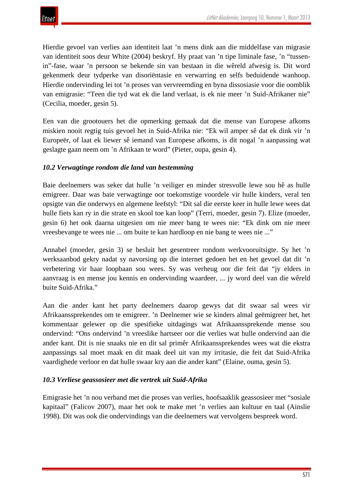Hierdie gevoel van verlies aan identiteit laat 'n mens dink aan die middelfase van migrasie van identiteit soos deur White (2004) beskryf. Hy praat van 'n tipe liminale fase, 'n "tussenin"-fase, waar 'n persoon se bekende sin van bestaan in die wêreld afwesig is. Dit word gekenmerk deur tydperke van disoriëntasie en verwarring en selfs beduidende wanhoop. Hierdie ondervinding lei tot 'n proses van vervreemding en byna dissosiasie voor die oomblik van emigrasie: "Teen die tyd wat ek die land verlaat, is ek nie meer 'n Suid-Afrikaner nie" (Cecilia, moeder, gesin 5).

Een van die grootouers het die opmerking gemaak dat die mense van Europese afkoms miskien nooit regtig tuis gevoel het in Suid-Afrika nie: "Ek wil amper sê dat ek dink vir 'n Europeër, of laat ek liewer sê iemand van Europese afkoms, is dit nogal 'n aanpassing wat geslagte gaan neem om 'n Afrikaan te word" (Pieter, oupa, gesin 4).

#### *10.2 Verwagtinge rondom die land van bestemming*

Baie deelnemers was seker dat hulle 'n veiliger en minder stresvolle lewe sou hê as hulle emigreer. Daar was baie verwagtinge oor toekomstige voordele vir hulle kinders, veral ten opsigte van die onderwys en algemene leefstyl: "Dit sal die eerste keer in hulle lewe wees dat hulle fiets kan ry in die strate en skool toe kan loop" (Terri, moeder, gesin 7). Elize (moeder, gesin 6) het ook daarna uitgesien om nie meer bang te wees nie: "Ek dink om nie meer vreesbevange te wees nie ... om buite te kan hardloop en nie bang te wees nie ..."

Annabel (moeder, gesin 3) se besluit het gesentreer rondom werkvooruitsigte. Sy het 'n werksaanbod gekry nadat sy navorsing op die internet gedoen het en het gevoel dat dit 'n verbetering vir haar loopbaan sou wees. Sy was verheug oor die feit dat "jy elders in aanvraag is en mense jou kennis en ondervinding waardeer, ... jy word deel van die wêreld buite Suid-Afrika."

Aan die ander kant het party deelnemers daarop gewys dat dit swaar sal wees vir Afrikaanssprekendes om te emigreer. 'n Deelnemer wie se kinders almal geëmigreer het, het kommentaar gelewer op die spesifieke uitdagings wat Afrikaanssprekende mense sou ondervind: "Ons ondervind 'n vreeslike hartseer oor die verlies wat hulle ondervind aan die ander kant. Dit is nie snaaks nie en dit sal primêr Afrikaanssprekendes wees wat die ekstra aanpassings sal moet maak en dit maak deel uit van my irritasie, die feit dat Suid-Afrika vaardighede verloor en dat hulle swaar kry aan die ander kant" (Elaine, ouma, gesin 5).

#### *10.3 Verliese geassosieer met die vertrek uit Suid-Afrika*

Emigrasie het 'n nou verband met die proses van verlies, hoofsaaklik geassosieer met "sosiale kapitaal" (Falicov 2007), maar het ook te make met 'n verlies aan kultuur en taal (Ainslie 1998). Dit was ook die ondervindings van die deelnemers wat vervolgens bespreek word.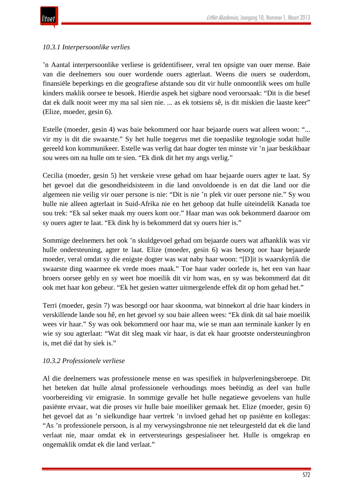

## *10.3.1 Interpersoonlike verlies*

'n Aantal interpersoonlike verliese is geïdentifiseer, veral ten opsigte van ouer mense. Baie van die deelnemers sou ouer wordende ouers agterlaat. Weens die ouers se ouderdom, finansiële beperkings en die geografiese afstande sou dit vir hulle onmoontlik wees om hulle kinders maklik oorsee te besoek. Hierdie aspek het sigbare nood veroorsaak: "Dit is die besef dat ek dalk nooit weer my ma sal sien nie. ... as ek totsiens sê, is dit miskien die laaste keer" (Elize, moeder, gesin 6).

Estelle (moeder, gesin 4) was baie bekommerd oor haar bejaarde ouers wat alleen woon: "... vir my is dit die swaarste." Sy het hulle toegerus met die toepaslike tegnologie sodat hulle gereeld kon kommunikeer. Estelle was verlig dat haar dogter ten minste vir 'n jaar beskikbaar sou wees om na hulle om te sien. "Ek dink dit het my angs verlig."

Cecilia (moeder, gesin 5) het verskeie vrese gehad om haar bejaarde ouers agter te laat. Sy het gevoel dat die gesondheidsisteem in die land onvoldoende is en dat die land oor die algemeen nie veilig vir ouer persone is nie: "Dit is nie 'n plek vir ouer persone nie." Sy wou hulle nie alleen agterlaat in Suid-Afrika nie en het gehoop dat hulle uiteindelik Kanada toe sou trek: "Ek sal seker maak my ouers kom oor." Haar man was ook bekommerd daaroor om sy ouers agter te laat. "Ek dink hy is bekommerd dat sy ouers hier is."

Sommige deelnemers het ook 'n skuldgevoel gehad om bejaarde ouers wat afhanklik was vir hulle ondersteuning, agter te laat. Elize (moeder, gesin 6) was besorg oor haar bejaarde moeder, veral omdat sy die enigste dogter was wat naby haar woon: "[D]it is waarskynlik die swaarste ding waarmee ek vrede moes maak." Toe haar vader oorlede is, het een van haar broers oorsee gebly en sy weet hoe moeilik dit vir hom was, en sy was bekommerd dat dit ook met haar kon gebeur. "Ek het gesien watter uitmergelende effek dit op hom gehad het."

Terri (moeder, gesin 7) was besorgd oor haar skoonma, wat binnekort al drie haar kinders in verskillende lande sou hê, en het gevoel sy sou baie alleen wees: "Ek dink dit sal baie moeilik wees vir haar." Sy was ook bekommerd oor haar ma, wie se man aan terminale kanker ly en wie sy sou agterlaat: "Wat dit sleg maak vir haar, is dat ek haar grootste ondersteuningbron is, met dié dat hy siek is."

#### *10.3.2 Professionele verliese*

Al die deelnemers was professionele mense en was spesifiek in hulpverleningsberoepe. Dit het beteken dat hulle almal professionele verhoudings moes beëindig as deel van hulle voorbereiding vir emigrasie. In sommige gevalle het hulle negatiewe gevoelens van hulle pasiënte ervaar, wat die proses vir hulle baie moeiliker gemaak het. Elize (moeder, gesin 6) het gevoel dat as 'n sielkundige haar vertrek 'n invloed gehad het op pasiënte en kollegas: "As 'n professionele persoon, is al my verwysingsbronne nie net teleurgesteld dat ek die land verlaat nie, maar omdat ek in eetversteurings gespesialiseer het. Hulle is omgekrap en ongemaklik omdat ek die land verlaat."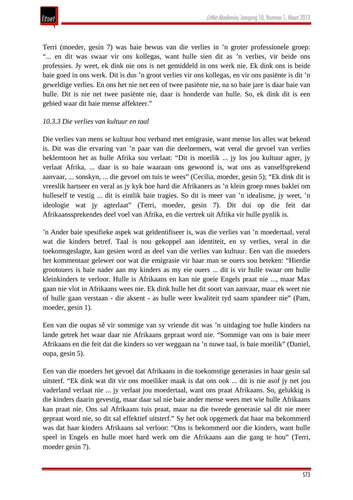Terri (moeder, gesin 7) was baie bewus van die verlies in 'n groter professionele groep: "... en dit was swaar vir ons kollegas, want hulle sien dit as 'n verlies, vir beide ons professies. Jy weet, ek dink nie ons is net gemiddeld in ons werk nie. Ek dink ons is beide baie goed in ons werk. Dit is dus 'n groot verlies vir ons kollegas, en vir ons pasiënte is dit 'n geweldige verlies. En ons het nie net een of twee pasiënte nie, na so baie jare is daar baie van hulle. Dit is nie net twee pasiënte nie, daar is honderde van hulle. So, ek dink dit is een gebied waar dit baie mense affekteer."

## *10.3.3 Die verlies van kultuur en taal*

Die verlies van mens se kultuur hou verband met emigrasie, want mense los alles wat bekend is. Dit was die ervaring van 'n paar van die deelnemers, wat veral die gevoel van verlies beklemtoon het as hulle Afrika sou verlaat: "Dit is moeilik ... jy los jou kultuur agter, jy verlaat Afrika, ... daar is so baie waaraan ons gewoond is, wat ons as vanselfsprekend aanvaar, ... sonskyn, ... die gevoel om tuis te wees" (Cecilia, moeder, gesin 5); "Ek dink dit is vreeslik hartseer en veral as jy kyk hoe hard die Afrikaners as 'n klein groep moes baklei om hulleself te vestig ... dit is eintlik baie tragies. So dit is meer van 'n idealisme, jy weet, 'n ideologie wat jy agterlaat" (Terri, moeder, gesin 7). Dit dui op die feit dat Afrikaanssprekendes deel voel van Afrika, en die vertrek uit Afrika vir hulle pynlik is.

'n Ander baie spesifieke aspek wat geïdentifiseer is, was die verlies van 'n moedertaal, veral wat die kinders betref. Taal is nou gekoppel aan identiteit, en sy verlies, veral in die toekomsgeslagte, kan gesien word as deel van die verlies van kultuur. Een van die moeders het kommentaar gelewer oor wat die emigrasie vir haar man se ouers sou beteken: "Hierdie grootouers is baie nader aan my kinders as my eie ouers ... dit is vir hulle swaar om hulle kleinkinders te verloor. Hulle is Afrikaans en kan nie goeie Engels praat nie ..., maar Max gaan nie vlot in Afrikaans wees nie. Ek dink hulle het dit soort van aanvaar, maar ek weet nie of hulle gaan verstaan - die aksent - as hulle weer kwaliteit tyd saam spandeer nie" (Pam, moeder, gesin 1).

Een van die oupas sê vir sommige van sy vriende dit was 'n uitdaging toe hulle kinders na lande getrek het waar daar nie Afrikaans gepraat word nie. "Sommige van ons is baie meer Afrikaans en die feit dat die kinders so ver weggaan na 'n nuwe taal, is baie moeilik" (Daniel, oupa, gesin 5).

Een van die moeders het gevoel dat Afrikaans in die toekomstige generasies in haar gesin sal uitsterf. "Ek dink wat dit vir ons moeiliker maak is dat ons ook ... dit is nie asof jy net jou vaderland verlaat nie ... jy verlaat jou moedertaal, want ons praat Afrikaans. So, gelukkig is die kinders daarin gevestig, maar daar sal nie baie ander mense wees met wie hulle Afrikaans kan praat nie. Ons sal Afrikaans tuis praat, maar na die tweede generasie sal dit nie meer gepraat word nie, so dit sal effektief uitsterf." Sy het ook opgemerk dat haar ma bekommerd was dat haar kinders Afrikaans sal verloor: "Ons is bekommerd oor die kinders, want hulle speel in Engels en hulle moet hard werk om die Afrikaans aan die gang te hou" (Terri, moeder gesin 7).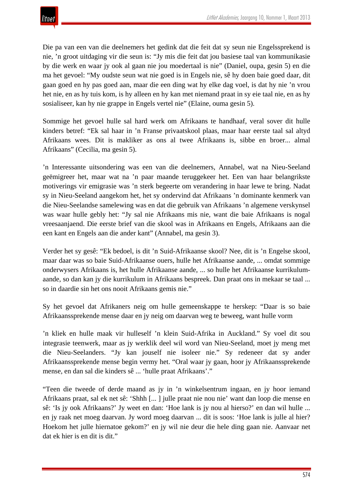Die pa van een van die deelnemers het gedink dat die feit dat sy seun nie Engelssprekend is nie, 'n groot uitdaging vir die seun is: "Jy mis die feit dat jou basiese taal van kommunikasie by die werk en waar jy ook al gaan nie jou moedertaal is nie" (Daniel, oupa, gesin 5) en die ma het gevoel: "My oudste seun wat nie goed is in Engels nie, sê hy doen baie goed daar, dit gaan goed en hy pas goed aan, maar die een ding wat hy elke dag voel, is dat hy nie 'n vrou het nie, en as hy tuis kom, is hy alleen en hy kan met niemand praat in sy eie taal nie, en as hy sosialiseer, kan hy nie grappe in Engels vertel nie" (Elaine, ouma gesin 5).

Sommige het gevoel hulle sal hard werk om Afrikaans te handhaaf, veral sover dit hulle kinders betref: "Ek sal haar in 'n Franse privaatskool plaas, maar haar eerste taal sal altyd Afrikaans wees. Dit is makliker as ons al twee Afrikaans is, sibbe en broer... almal Afrikaans" (Cecilia, ma gesin 5).

'n Interessante uitsondering was een van die deelnemers, Annabel, wat na Nieu-Seeland geëmigreer het, maar wat na 'n paar maande teruggekeer het. Een van haar belangrikste motiverings vir emigrasie was 'n sterk begeerte om verandering in haar lewe te bring. Nadat sy in Nieu-Seeland aangekom het, het sy ondervind dat Afrikaans 'n dominante kenmerk van die Nieu-Seelandse samelewing was en dat die gebruik van Afrikaans 'n algemene verskynsel was waar hulle gebly het: "Jy sal nie Afrikaans mis nie, want die baie Afrikaans is nogal vreesaanjaend. Die eerste brief van die skool was in Afrikaans en Engels, Afrikaans aan die een kant en Engels aan die ander kant" (Annabel, ma gesin 3).

Verder het sy gesê: "Ek bedoel, is dit 'n Suid-Afrikaanse skool? Nee, dit is 'n Engelse skool, maar daar was so baie Suid-Afrikaanse ouers, hulle het Afrikaanse aande, ... omdat sommige onderwysers Afrikaans is, het hulle Afrikaanse aande, ... so hulle het Afrikaanse kurrikulumaande, so dan kan jy die kurrikulum in Afrikaans bespreek. Dan praat ons in mekaar se taal ... so in daardie sin het ons nooit Afrikaans gemis nie."

Sy het gevoel dat Afrikaners neig om hulle gemeenskappe te herskep: "Daar is so baie Afrikaanssprekende mense daar en jy neig om daarvan weg te beweeg, want hulle vorm

'n kliek en hulle maak vir hulleself 'n klein Suid-Afrika in Auckland." Sy voel dit sou integrasie teenwerk, maar as jy werklik deel wil word van Nieu-Seeland, moet jy meng met die Nieu-Seelanders. "Jy kan jouself nie isoleer nie." Sy redeneer dat sy ander Afrikaanssprekende mense begin vermy het. "Oral waar jy gaan, hoor jy Afrikaanssprekende mense, en dan sal die kinders sê ... 'hulle praat Afrikaans'."

"Teen die tweede of derde maand as jy in 'n winkelsentrum ingaan, en jy hoor iemand Afrikaans praat, sal ek net sê: 'Shhh [... ] julle praat nie nou nie' want dan loop die mense en sê: 'Is jy ook Afrikaans?' Jy weet en dan: 'Hoe lank is jy nou al hierso?' en dan wil hulle ... en jy raak net moeg daarvan. Jy word moeg daarvan ... dit is soos: 'Hoe lank is julle al hier? Hoekom het julle hiernatoe gekom?' en jy wil nie deur die hele ding gaan nie. Aanvaar net dat ek hier is en dit is dit."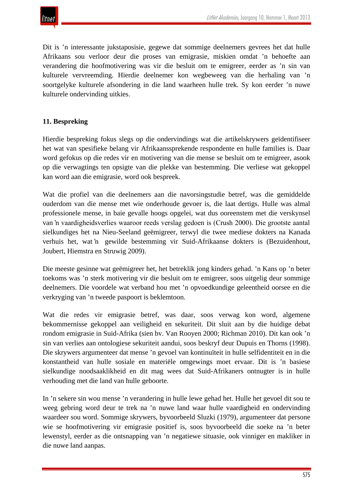

Dit is 'n interessante jukstaposisie, gegewe dat sommige deelnemers gevrees het dat hulle Afrikaans sou verloor deur die proses van emigrasie, miskien omdat 'n behoefte aan verandering die hoofmotivering was vir die besluit om te emigreer, eerder as 'n sin van kulturele vervreemding. Hierdie deelnemer kon wegbeweeg van die herhaling van 'n soortgelyke kulturele afsondering in die land waarheen hulle trek. Sy kon eerder 'n nuwe kulturele ondervinding uitkies.

## **11. Bespreking**

Hierdie bespreking fokus slegs op die ondervindings wat die artikelskrywers geïdentifiseer het wat van spesifieke belang vir Afrikaanssprekende respondente en hulle families is. Daar word gefokus op die redes vir en motivering van die mense se besluit om te emigreer, asook op die verwagtings ten opsigte van die plekke van bestemming. Die verliese wat gekoppel kan word aan die emigrasie, word ook bespreek.

Wat die profiel van die deelnemers aan die navorsingstudie betref, was die gemiddelde ouderdom van die mense met wie onderhoude gevoer is, die laat dertigs. Hulle was almal professionele mense, in baie gevalle hoogs opgelei, wat dus ooreenstem met die verskynsel van 'n vaardigheidsverlies waaroor reeds verslag gedoen is (Crush 2000). Die grootste aantal sielkundiges het na Nieu-Seeland geëmigreer, terwyl die twee mediese dokters na Kanada verhuis het, wat 'n gewilde bestemming vir Suid-Afrikaanse dokters is (Bezuidenhout, Joubert, Hiemstra en Struwig 2009).

Die meeste gesinne wat geëmigreer het, het betreklik jong kinders gehad. 'n Kans op 'n beter toekoms was 'n sterk motivering vir die besluit om te emigreer, soos uitgelig deur sommige deelnemers. Die voordele wat verband hou met 'n opvoedkundige geleentheid oorsee en die verkryging van 'n tweede paspoort is beklemtoon.

Wat die redes vir emigrasie betref, was daar, soos verwag kon word, algemene bekommernisse gekoppel aan veiligheid en sekuriteit. Dit sluit aan by die huidige debat rondom emigrasie in Suid-Afrika (sien bv. Van Rooyen 2000; Richman 2010). Dit kan ook 'n sin van verlies aan ontologiese sekuriteit aandui, soos beskryf deur Dupuis en Thorns (1998). Die skrywers argumenteer dat mense 'n gevoel van kontinuïteit in hulle selfidentiteit en in die konstantheid van hulle sosiale en materiële omgewings moet ervaar. Dit is 'n basiese sielkundige noodsaaklikheid en dit mag wees dat Suid-Afrikaners ontnugter is in hulle verhouding met die land van hulle geboorte.

In 'n sekere sin wou mense 'n verandering in hulle lewe gehad het. Hulle het gevoel dit sou te weeg gebring word deur te trek na 'n nuwe land waar hulle vaardigheid en ondervinding waardeer sou word. Sommige skrywers, byvoorbeeld Sluzki (1979), argumenteer dat persone wie se hoofmotivering vir emigrasie positief is, soos byvoorbeeld die soeke na 'n beter lewenstyl, eerder as die ontsnapping van 'n negatiewe situasie, ook vinniger en makliker in die nuwe land aanpas.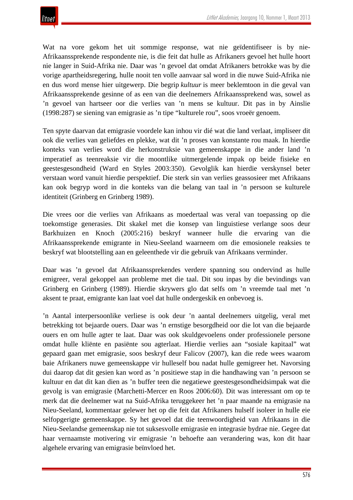Wat na vore gekom het uit sommige response, wat nie geïdentifiseer is by nie-Afrikaanssprekende respondente nie, is die feit dat hulle as Afrikaners gevoel het hulle hoort nie langer in Suid-Afrika nie. Daar was 'n gevoel dat omdat Afrikaners betrokke was by die vorige apartheidsregering, hulle nooit ten volle aanvaar sal word in die nuwe Suid-Afrika nie en dus word mense hier uitgewerp. Die begrip *kultuur* is meer beklemtoon in die geval van Afrikaanssprekende gesinne of as een van die deelnemers Afrikaanssprekend was, sowel as 'n gevoel van hartseer oor die verlies van 'n mens se kultuur. Dit pas in by Ainslie (1998:287) se siening van emigrasie as 'n tipe "kulturele rou", soos vroeër genoem.

Ten spyte daarvan dat emigrasie voordele kan inhou vir dié wat die land verlaat, impliseer dit ook die verlies van geliefdes en plekke, wat dit 'n proses van konstante rou maak. In hierdie konteks van verlies word die herkonstruksie van gemeenskappe in die ander land 'n imperatief as teenreaksie vir die moontlike uitmergelende impak op beide fisieke en geestesgesondheid (Ward en Styles 2003:350). Gevolglik kan hierdie verskynsel beter verstaan word vanuit hierdie perspektief. Die sterk sin van verlies geassosieer met Afrikaans kan ook begryp word in die konteks van die belang van taal in 'n persoon se kulturele identiteit (Grinberg en Grinberg 1989).

Die vrees oor die verlies van Afrikaans as moedertaal was veral van toepassing op die toekomstige generasies. Dit skakel met die konsep van linguistiese verlange soos deur Barkhuizen en Knoch (2005:216) beskryf wanneer hulle die ervaring van die Afrikaanssprekende emigrante in Nieu-Seeland waarneem om die emosionele reaksies te beskryf wat blootstelling aan en geleenthede vir die gebruik van Afrikaans verminder.

Daar was 'n gevoel dat Afrikaanssprekendes verdere spanning sou ondervind as hulle emigreer, veral gekoppel aan probleme met die taal. Dit sou inpas by die bevindings van Grinberg en Grinberg (1989). Hierdie skrywers glo dat selfs om 'n vreemde taal met 'n aksent te praat, emigrante kan laat voel dat hulle ondergeskik en onbevoeg is.

'n Aantal interpersoonlike verliese is ook deur 'n aantal deelnemers uitgelig, veral met betrekking tot bejaarde ouers. Daar was 'n ernstige besorgdheid oor die lot van die bejaarde ouers en om hulle agter te laat. Daar was ook skuldgevoelens onder professionele persone omdat hulle kliënte en pasiënte sou agterlaat. Hierdie verlies aan "sosiale kapitaal" wat gepaard gaan met emigrasie, soos beskryf deur Falicov (2007), kan die rede wees waarom baie Afrikaners nuwe gemeenskappe vir hulleself bou nadat hulle gemigreer het. Navorsing dui daarop dat dit gesien kan word as 'n positiewe stap in die handhawing van 'n persoon se kultuur en dat dit kan dien as 'n buffer teen die negatiewe geestesgesondheidsimpak wat die gevolg is van emigrasie (Marchetti-Mercer en Roos 2006:60). Dit was interessant om op te merk dat die deelnemer wat na Suid-Afrika teruggekeer het 'n paar maande na emigrasie na Nieu-Seeland, kommentaar gelewer het op die feit dat Afrikaners hulself isoleer in hulle eie selfopgerigte gemeenskappe. Sy het gevoel dat die teenwoordigheid van Afrikaans in die Nieu-Seelandse gemeenskap nie tot suksesvolle emigrasie en integrasie bydrae nie. Gegee dat haar vernaamste motivering vir emigrasie 'n behoefte aan verandering was, kon dit haar algehele ervaring van emigrasie beïnvloed het.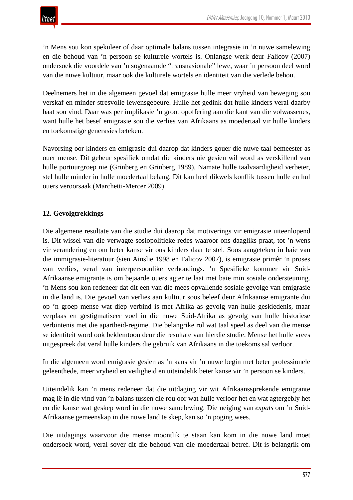

'n Mens sou kon spekuleer of daar optimale balans tussen integrasie in 'n nuwe samelewing en die behoud van 'n persoon se kulturele wortels is. Onlangse werk deur Falicov (2007) ondersoek die voordele van 'n sogenaamde "transnasionale" lewe, waar 'n persoon deel word van die nuwe kultuur, maar ook die kulturele wortels en identiteit van die verlede behou.

Deelnemers het in die algemeen gevoel dat emigrasie hulle meer vryheid van beweging sou verskaf en minder stresvolle lewensgebeure. Hulle het gedink dat hulle kinders veral daarby baat sou vind. Daar was per implikasie 'n groot opoffering aan die kant van die volwassenes, want hulle het besef emigrasie sou die verlies van Afrikaans as moedertaal vir hulle kinders en toekomstige generasies beteken.

Navorsing oor kinders en emigrasie dui daarop dat kinders gouer die nuwe taal bemeester as ouer mense. Dit gebeur spesifiek omdat die kinders nie gesien wil word as verskillend van hulle portuurgroep nie (Grinberg en Grinberg 1989). Namate hulle taalvaardigheid verbeter, stel hulle minder in hulle moedertaal belang. Dit kan heel dikwels konflik tussen hulle en hul ouers veroorsaak (Marchetti-Mercer 2009).

## **12. Gevolgtrekkings**

Die algemene resultate van die studie dui daarop dat motiverings vir emigrasie uiteenlopend is. Dit wissel van die verwagte sosiopolitieke redes waaroor ons daagliks praat, tot 'n wens vir verandering en om beter kanse vir ons kinders daar te stel. Soos aangeteken in baie van die immigrasie-literatuur (sien Ainslie 1998 en Falicov 2007), is emigrasie primêr 'n proses van verlies, veral van interpersoonlike verhoudings. 'n Spesifieke kommer vir Suid-Afrikaanse emigrante is om bejaarde ouers agter te laat met baie min sosiale ondersteuning. 'n Mens sou kon redeneer dat dit een van die mees opvallende sosiale gevolge van emigrasie in die land is. Die gevoel van verlies aan kultuur soos beleef deur Afrikaanse emigrante dui op 'n groep mense wat diep verbind is met Afrika as gevolg van hulle geskiedenis, maar verplaas en gestigmatiseer voel in die nuwe Suid-Afrika as gevolg van hulle historiese verbintenis met die apartheid-regime. Die belangrike rol wat taal speel as deel van die mense se identiteit word ook beklemtoon deur die resultate van hierdie studie. Mense het hulle vrees uitgespreek dat veral hulle kinders die gebruik van Afrikaans in die toekoms sal verloor.

In die algemeen word emigrasie gesien as 'n kans vir 'n nuwe begin met beter professionele geleenthede, meer vryheid en veiligheid en uiteindelik beter kanse vir 'n persoon se kinders.

Uiteindelik kan 'n mens redeneer dat die uitdaging vir wit Afrikaanssprekende emigrante mag lê in die vind van 'n balans tussen die rou oor wat hulle verloor het en wat agtergebly het en die kanse wat geskep word in die nuwe samelewing. Die neiging van *expats* om 'n Suid-Afrikaanse gemeenskap in die nuwe land te skep, kan so 'n poging wees.

Die uitdagings waarvoor die mense moontlik te staan kan kom in die nuwe land moet ondersoek word, veral sover dit die behoud van die moedertaal betref. Dit is belangrik om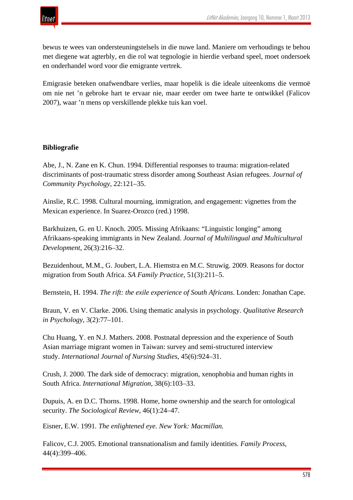

bewus te wees van ondersteuningstelsels in die nuwe land. Maniere om verhoudings te behou met diegene wat agterbly, en die rol wat tegnologie in hierdie verband speel, moet ondersoek en onderhandel word voor die emigrante vertrek.

Emigrasie beteken onafwendbare verlies, maar hopelik is die ideale uiteenkoms die vermoë om nie net 'n gebroke hart te ervaar nie, maar eerder om twee harte te ontwikkel (Falicov 2007), waar 'n mens op verskillende plekke tuis kan voel.

#### **Bibliografie**

Abe, J., N. Zane en K. Chun. 1994. Differential responses to trauma: migration-related discriminants of post-traumatic stress disorder among Southeast Asian refugees. *Journal of Community Psychology*, 22:121–35.

Ainslie, R.C. 1998. Cultural mourning, immigration, and engagement: vignettes from the Mexican experience. In Suarez-Orozco (red.) 1998.

Barkhuizen, G. en U. Knoch. 2005. Missing Afrikaans: "Linguistic longing" among Afrikaans-speaking immigrants in New Zealand. *Journal of Multilingual and Multicultural Development*, 26(3):216–32.

Bezuidenhout, M.M., G. Joubert, L.A. Hiemstra en M.C. Struwig. 2009. Reasons for doctor migration from South Africa. *SA Family Practice*, 51(3):211–5.

Bernstein, H. 1994. *The rift: the exile experience of South Africans*. Londen: Jonathan Cape.

Braun, V. en V. Clarke. 2006. Using thematic analysis in psychology. *Qualitative Research in Psychology*, 3(2):77–101.

Chu Huang, Y. en N.J. Mathers. 2008. Postnatal depression and the experience of South Asian marriage migrant women in Taiwan: survey and semi-structured interview study. *International Journal of Nursing Studies*, 45(6):924–31.

Crush, J. 2000. The dark side of democracy: migration, xenophobia and human rights in South Africa. *International Migration,* 38(6):103–33.

Dupuis, A. en D.C. Thorns. 1998. Home, home ownership and the search for ontological security. *The Sociological Review*, 46(1):24–47.

Eisner, E.W. 1991*. The enlightened eye. New York: Macmillan.*

Falicov, C.J. 2005. Emotional transnationalism and family identities. *Family Process*, 44(4):399–406.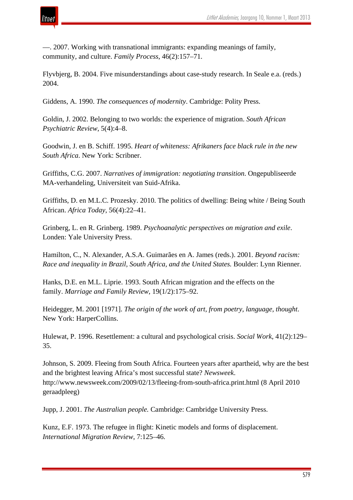

—. 2007. Working with transnational immigrants: expanding meanings of family, community, and culture. *Family Process*, 46(2):157–71.

Flyvbjerg, B. 2004. Five misunderstandings about case-study research. In Seale e.a. (reds.) 2004.

Giddens, A. 1990. *The consequences of modernity*. Cambridge: Polity Press.

Goldin, J. 2002. Belonging to two worlds: the experience of migration. *South African Psychiatric Review*, 5(4):4–8.

Goodwin, J. en B. Schiff. 1995. *Heart of whiteness: Afrikaners face black rule in the new South Africa*. New York: Scribner.

Griffiths, C.G. 2007. *Narratives of immigration: negotiating transition*. Ongepubliseerde MA-verhandeling, Universiteit van Suid-Afrika.

Griffiths, D. en M.L.C. Prozesky. 2010. The politics of dwelling: Being white / Being South African. *Africa Today*, 56(4):22–41.

Grinberg, L. en R. Grinberg. 1989. *Psychoanalytic perspectives on migration and exile*. Londen: Yale University Press.

Hamilton, C., N. Alexander, A.S.A. Guimarães en A. James (reds.). 2001. *Beyond racism: Race and inequality in Brazil, South Africa, and the United States.* Boulder: Lynn Rienner.

Hanks, D.E. en M.L. Liprie. 1993. South African migration and the effects on the family. *Marriage and Family Review*, 19(1/2):175–92.

Heidegger, M. 2001 [1971]. *The origin of the work of art, from poetry, language, thought*. New York: HarperCollins.

Hulewat, P. 1996. Resettlement: a cultural and psychological crisis. *Social Work*, 41(2):129– 35.

Johnson, S. 2009. Fleeing from South Africa. Fourteen years after apartheid, why are the best and the brightest leaving Africa's most successful state? *Newsweek*. http://www.newsweek.com/2009/02/13/fleeing-from-south-africa.print.html (8 April 2010 geraadpleeg)

Jupp, J. 2001. *The Australian people.* Cambridge: Cambridge University Press.

Kunz, E.F. 1973. The refugee in flight: Kinetic models and forms of displacement. *International Migration Review*, 7:125–46.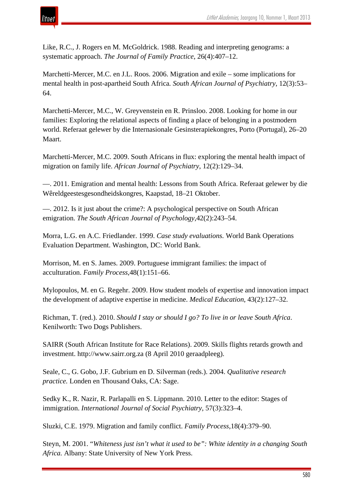

Like, R.C., J. Rogers en M. McGoldrick. 1988. Reading and interpreting genograms: a systematic approach. *The Journal of Family Practice*, 26(4):407–12.

Marchetti-Mercer, M.C. en J.L. Roos. 2006. Migration and exile – some implications for mental health in post-apartheid South Africa*. South African Journal of Psychiatry*, 12(3):53– 64.

Marchetti-Mercer, M.C., W. Greyvenstein en R. Prinsloo. 2008. Looking for home in our families: Exploring the relational aspects of finding a place of belonging in a postmodern world. Referaat gelewer by die Internasionale Gesinsterapiekongres, Porto (Portugal), 26–20 Maart.

Marchetti-Mercer, M.C. 2009. South Africans in flux: exploring the mental health impact of migration on family life. *African Journal of Psychiatry*, 12(2):129–34.

—. 2011. Emigration and mental health: Lessons from South Africa. Referaat gelewer by die Wêreldgeestesgesondheidskongres, Kaapstad, 18–21 Oktober.

—. 2012. Is it just about the crime?: A psychological perspective on South African emigration. *The South African Journal of Psychology*,42(2):243–54.

Morra, L.G. en A.C. Friedlander. 1999. *Case study evaluations.* World Bank Operations Evaluation Department. Washington, DC: World Bank.

Morrison, M. en S. James. 2009. Portuguese immigrant families: the impact of acculturation. *Family Process*,48(1):151–66.

Mylopoulos, M. en G. Regehr. 2009. How student models of expertise and innovation impact the development of adaptive expertise in medicine. *Medical Education*, 43(2):127–32.

Richman, T. (red.). 2010. *Should I stay or should I go? To live in or leave South Africa*. Kenilworth: Two Dogs Publishers.

SAIRR (South African Institute for Race Relations). 2009. Skills flights retards growth and investment. http://www.sairr.org.za (8 April 2010 geraadpleeg).

Seale, C., G. Gobo, J.F. Gubrium en D. Silverman (reds.). 2004. *Qualitative research practice.* Londen en Thousand Oaks, CA: Sage.

Sedky K., R. Nazir, R. Parlapalli en S. Lippmann. 2010. Letter to the editor: Stages of immigration. *International Journal of Social Psychiatry*, 57(3):323–4.

Sluzki, C.E. 1979. Migration and family conflict. *Family Process*,18(4):379–90.

Steyn, M. 2001. "*Whiteness just isn't what it used to be": White identity in a changing South Africa.* Albany: State University of New York Press.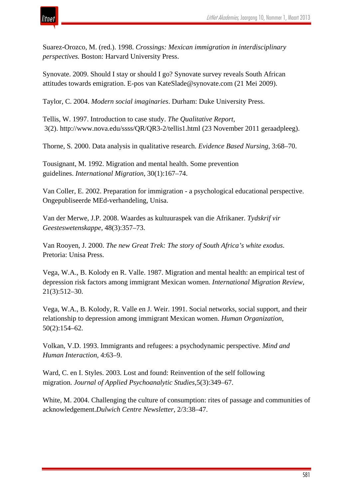

Suarez-Orozco, M. (red.). 1998. *Crossings: Mexican immigration in interdisciplinary perspectives.* Boston: Harvard University Press.

Synovate. 2009. Should I stay or should I go? Synovate survey reveals South African attitudes towards emigration. E-pos van KateSlade@synovate.com (21 Mei 2009).

Taylor, C. 2004. *Modern social imaginaries*. Durham: Duke University Press.

Tellis, W. 1997. Introduction to case study. *The Qualitative Report,* 3(2). http://www.nova.edu/ssss/QR/QR3-2/tellis1.html (23 November 2011 geraadpleeg).

Thorne, S. 2000. Data analysis in qualitative research. *Evidence Based Nursing,* 3:68–70.

Tousignant, M. 1992. Migration and mental health. Some prevention guidelines. *International Migration*, 30(1):167–74.

Van Coller, E. 2002. Preparation for immigration - a psychological educational perspective. Ongepubliseerde MEd-verhandeling, Unisa.

Van der Merwe, J.P. 2008. Waardes as kultuuraspek van die Afrikaner. *Tydskrif vir Geesteswetenskappe,* 48(3):357–73.

Van Rooyen, J. 2000. *The new Great Trek: The story of South Africa's white exodus*. Pretoria: Unisa Press.

Vega, W.A., B. Kolody en R. Valle. 1987. Migration and mental health: an empirical test of depression risk factors among immigrant Mexican women. *International Migration Review*, 21(3):512–30.

Vega, W.A., B. Kolody, R. Valle en J. Weir. 1991. Social networks, social support, and their relationship to depression among immigrant Mexican women. *Human Organization*, 50(2):154–62.

Volkan, V.D. 1993. Immigrants and refugees: a psychodynamic perspective. *Mind and Human Interaction,* 4:63–9.

Ward, C. en I. Styles. 2003. Lost and found: Reinvention of the self following migration. *Journal of Applied Psychoanalytic Studies*,5(3):349–67.

White, M. 2004. Challenging the culture of consumption: rites of passage and communities of acknowledgement.*Dulwich Centre Newsletter*, 2/3:38–47.